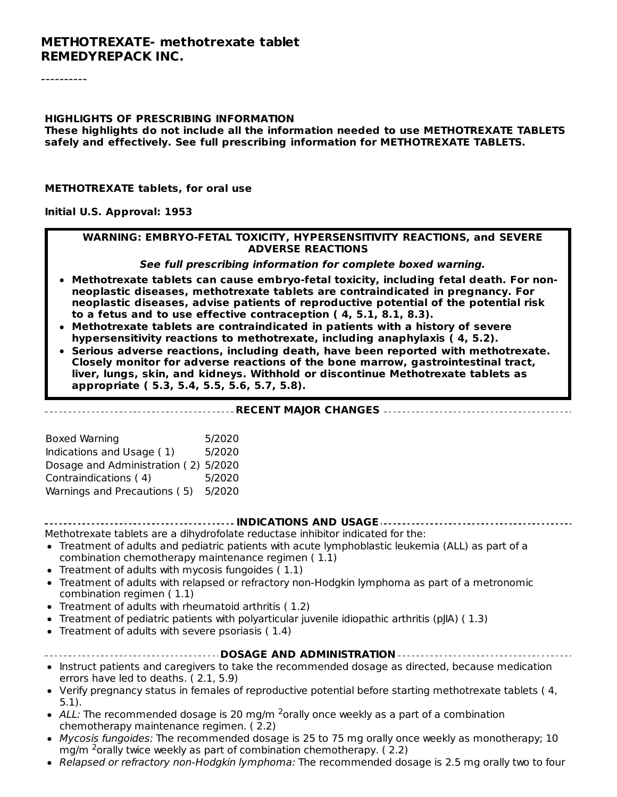#### **METHOTREXATE- methotrexate tablet REMEDYREPACK INC.**

#### **HIGHLIGHTS OF PRESCRIBING INFORMATION**

**These highlights do not include all the information needed to use METHOTREXATE TABLETS safely and effectively. See full prescribing information for METHOTREXATE TABLETS.**

#### **METHOTREXATE tablets, for oral use**

#### **Initial U.S. Approval: 1953**

#### **WARNING: EMBRYO-FETAL TOXICITY, HYPERSENSITIVITY REACTIONS, and SEVERE ADVERSE REACTIONS**

#### **See full prescribing information for complete boxed warning.**

- **Methotrexate tablets can cause embryo-fetal toxicity, including fetal death. For nonneoplastic diseases, methotrexate tablets are contraindicated in pregnancy. For neoplastic diseases, advise patients of reproductive potential of the potential risk to a fetus and to use effective contraception ( 4, 5.1, 8.1, 8.3).**
- **Methotrexate tablets are contraindicated in patients with a history of severe hypersensitivity reactions to methotrexate, including anaphylaxis ( 4, 5.2).**
- **Serious adverse reactions, including death, have been reported with methotrexate. Closely monitor for adverse reactions of the bone marrow, gastrointestinal tract, liver, lungs, skin, and kidneys. Withhold or discontinue Methotrexate tablets as appropriate ( 5.3, 5.4, 5.5, 5.6, 5.7, 5.8).**

**RECENT MAJOR CHANGES**

Boxed Warning 5/2020 Indications and Usage ( 1) 5/2020 Dosage and Administration ( 2) 5/2020 Contraindications ( 4) 5/2020 Warnings and Precautions ( 5) 5/2020

#### **INDICATIONS AND USAGE**

Methotrexate tablets are a dihydrofolate reductase inhibitor indicated for the:

- Treatment of adults and pediatric patients with acute lymphoblastic leukemia (ALL) as part of a combination chemotherapy maintenance regimen ( 1.1)
- Treatment of adults with mycosis fungoides ( 1.1)
- Treatment of adults with relapsed or refractory non-Hodgkin lymphoma as part of a metronomic combination regimen ( 1.1)
- Treatment of adults with rheumatoid arthritis ( 1.2)
- Treatment of pediatric patients with polyarticular juvenile idiopathic arthritis (pJIA) ( 1.3)
- Treatment of adults with severe psoriasis (1.4)

#### **DOSAGE AND ADMINISTRATION**

- Instruct patients and caregivers to take the recommended dosage as directed, because medication errors have led to deaths. ( 2.1, 5.9)
- Verify pregnancy status in females of reproductive potential before starting methotrexate tablets ( 4, 5.1).
- ALL: The recommended dosage is 20 mg/m <sup>2</sup>orally once weekly as a part of a combination chemotherapy maintenance regimen. ( 2.2)
- Mycosis fungoides: The recommended dosage is 25 to 75 mg orally once weekly as monotherapy; 10  $mg/m<sup>2</sup>$ orally twice weekly as part of combination chemotherapy. (2.2)
- Relapsed or refractory non-Hodgkin lymphoma: The recommended dosage is 2.5 mg orally two to four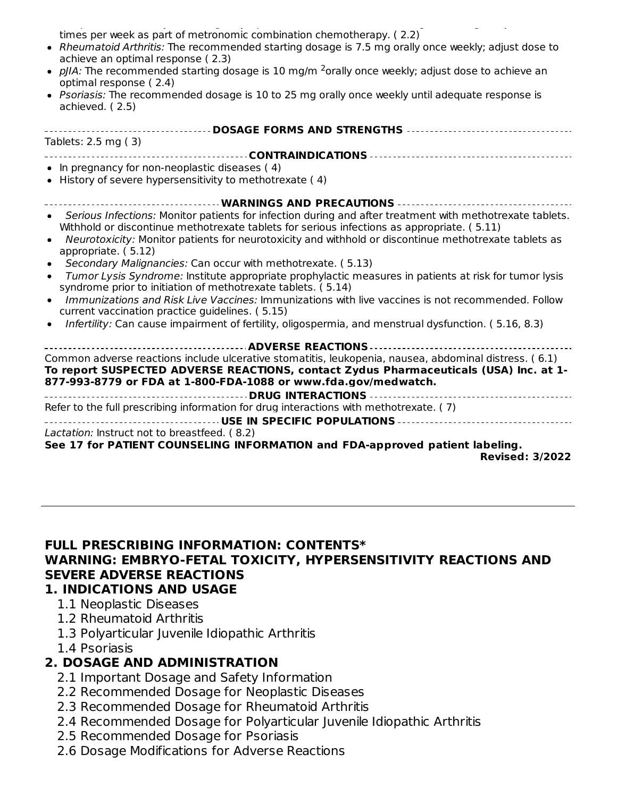Relapsed or refractory non-Hodgkin lymphoma: The recommended dosage is 2.5 mg orally two to four times per week as part of metronomic combination chemotherapy. ( 2.2) • Rheumatoid Arthritis: The recommended starting dosage is 7.5 mg orally once weekly; adjust dose to achieve an optimal response ( 2.3) pJIA: The recommended starting dosage is 10 mg/m <sup>2</sup>orally once weekly; adjust dose to achieve an optimal response ( 2.4) Psoriasis: The recommended dosage is 10 to 25 mg orally once weekly until adequate response is achieved. ( 2.5) **DOSAGE FORMS AND STRENGTHS** Tablets: 2.5 mg ( 3) **CONTRAINDICATIONS** In pregnancy for non-neoplastic diseases ( 4)  $\bullet$  History of severe hypersensitivity to methotrexate (4) **WARNINGS AND PRECAUTIONS** Serious Infections: Monitor patients for infection during and after treatment with methotrexate tablets. Withhold or discontinue methotrexate tablets for serious infections as appropriate. ( 5.11) Neurotoxicity: Monitor patients for neurotoxicity and withhold or discontinue methotrexate tablets as  $\bullet$ appropriate. ( 5.12) Secondary Malignancies: Can occur with methotrexate. ( 5.13) Tumor Lysis Syndrome: Institute appropriate prophylactic measures in patients at risk for tumor lysis syndrome prior to initiation of methotrexate tablets. ( 5.14) Immunizations and Risk Live Vaccines: Immunizations with live vaccines is not recommended. Follow current vaccination practice guidelines. ( 5.15) Infertility: Can cause impairment of fertility, oligospermia, and menstrual dysfunction. ( 5.16, 8.3) **ADVERSE REACTIONS** Common adverse reactions include ulcerative stomatitis, leukopenia, nausea, abdominal distress. ( 6.1) **To report SUSPECTED ADVERSE REACTIONS, contact Zydus Pharmaceuticals (USA) Inc. at 1- 877-993-8779 or FDA at 1-800-FDA-1088 or www.fda.gov/medwatch. DRUG INTERACTIONS** Refer to the full prescribing information for drug interactions with methotrexate. ( 7) **USE IN SPECIFIC POPULATIONS** Lactation: Instruct not to breastfeed. ( 8.2) **See 17 for PATIENT COUNSELING INFORMATION and FDA-approved patient labeling.**

**Revised: 3/2022**

#### **FULL PRESCRIBING INFORMATION: CONTENTS\* WARNING: EMBRYO-FETAL TOXICITY, HYPERSENSITIVITY REACTIONS AND SEVERE ADVERSE REACTIONS**

#### **1. INDICATIONS AND USAGE**

- 1.1 Neoplastic Diseases
- 1.2 Rheumatoid Arthritis
- 1.3 Polyarticular Juvenile Idiopathic Arthritis
- 1.4 Psoriasis

# **2. DOSAGE AND ADMINISTRATION**

- 2.1 Important Dosage and Safety Information
- 2.2 Recommended Dosage for Neoplastic Diseases
- 2.3 Recommended Dosage for Rheumatoid Arthritis
- 2.4 Recommended Dosage for Polyarticular Juvenile Idiopathic Arthritis
- 2.5 Recommended Dosage for Psoriasis
- 2.6 Dosage Modifications for Adverse Reactions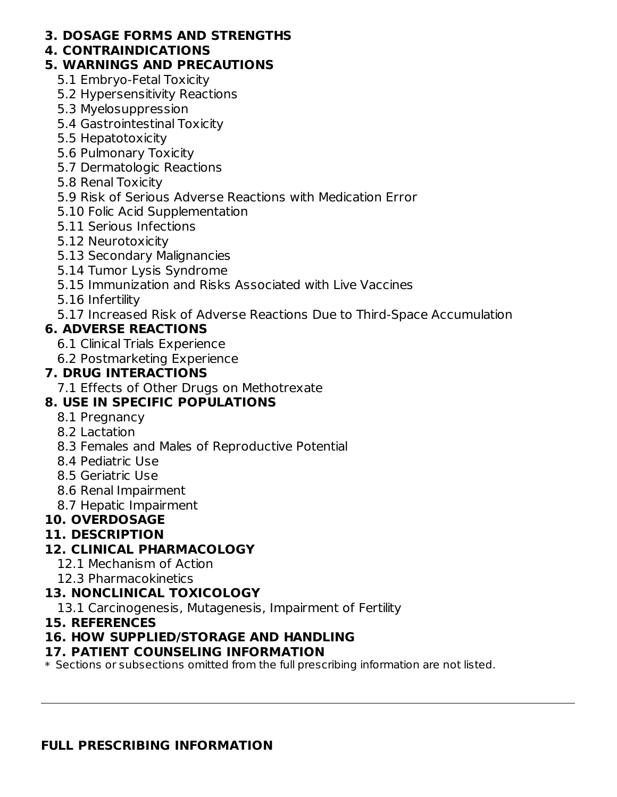#### **3. DOSAGE FORMS AND STRENGTHS**

#### **4. CONTRAINDICATIONS**

#### **5. WARNINGS AND PRECAUTIONS**

- 5.1 Embryo-Fetal Toxicity
- 5.2 Hypersensitivity Reactions
- 5.3 Myelosuppression
- 5.4 Gastrointestinal Toxicity
- 5.5 Hepatotoxicity
- 5.6 Pulmonary Toxicity
- 5.7 Dermatologic Reactions
- 5.8 Renal Toxicity
- 5.9 Risk of Serious Adverse Reactions with Medication Error
- 5.10 Folic Acid Supplementation
- 5.11 Serious Infections
- 5.12 Neurotoxicity
- 5.13 Secondary Malignancies
- 5.14 Tumor Lysis Syndrome
- 5.15 Immunization and Risks Associated with Live Vaccines
- 5.16 Infertility
- 5.17 Increased Risk of Adverse Reactions Due to Third-Space Accumulation

# **6. ADVERSE REACTIONS**

- 6.1 Clinical Trials Experience
- 6.2 Postmarketing Experience

### **7. DRUG INTERACTIONS**

7.1 Effects of Other Drugs on Methotrexate

# **8. USE IN SPECIFIC POPULATIONS**

- 8.1 Pregnancy
- 8.2 Lactation
- 8.3 Females and Males of Reproductive Potential
- 8.4 Pediatric Use
- 8.5 Geriatric Use
- 8.6 Renal Impairment
- 8.7 Hepatic Impairment

### **10. OVERDOSAGE**

### **11. DESCRIPTION**

### **12. CLINICAL PHARMACOLOGY**

- 12.1 Mechanism of Action
- 12.3 Pharmacokinetics

### **13. NONCLINICAL TOXICOLOGY**

13.1 Carcinogenesis, Mutagenesis, Impairment of Fertility

### **15. REFERENCES**

### **16. HOW SUPPLIED/STORAGE AND HANDLING**

### **17. PATIENT COUNSELING INFORMATION**

 $\ast$  Sections or subsections omitted from the full prescribing information are not listed.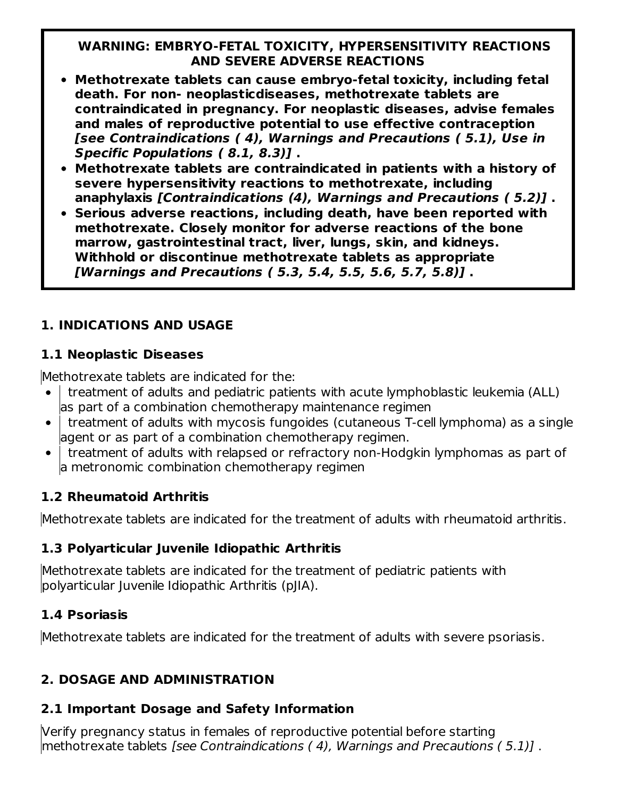### **WARNING: EMBRYO-FETAL TOXICITY, HYPERSENSITIVITY REACTIONS AND SEVERE ADVERSE REACTIONS**

- **Methotrexate tablets can cause embryo-fetal toxicity, including fetal death. For non- neoplasticdiseases, methotrexate tablets are contraindicated in pregnancy. For neoplastic diseases, advise females and males of reproductive potential to use effective contraception [see Contraindications ( 4), Warnings and Precautions ( 5.1), Use in Specific Populations ( 8.1, 8.3)] .**
- **Methotrexate tablets are contraindicated in patients with a history of severe hypersensitivity reactions to methotrexate, including anaphylaxis [Contraindications (4), Warnings and Precautions ( 5.2)] .**
- **Serious adverse reactions, including death, have been reported with methotrexate. Closely monitor for adverse reactions of the bone marrow, gastrointestinal tract, liver, lungs, skin, and kidneys. Withhold or discontinue methotrexate tablets as appropriate [Warnings and Precautions ( 5.3, 5.4, 5.5, 5.6, 5.7, 5.8)] .**

# **1. INDICATIONS AND USAGE**

### **1.1 Neoplastic Diseases**

Methotrexate tablets are indicated for the:

- treatment of adults and pediatric patients with acute lymphoblastic leukemia (ALL) as part of a combination chemotherapy maintenance regimen
- treatment of adults with mycosis fungoides (cutaneous T-cell lymphoma) as a single agent or as part of a combination chemotherapy regimen.
- treatment of adults with relapsed or refractory non-Hodgkin lymphomas as part of  $\bullet$ a metronomic combination chemotherapy regimen

# **1.2 Rheumatoid Arthritis**

Methotrexate tablets are indicated for the treatment of adults with rheumatoid arthritis.

# **1.3 Polyarticular Juvenile Idiopathic Arthritis**

Methotrexate tablets are indicated for the treatment of pediatric patients with polyarticular Juvenile Idiopathic Arthritis (pJIA).

# **1.4 Psoriasis**

Methotrexate tablets are indicated for the treatment of adults with severe psoriasis.

# **2. DOSAGE AND ADMINISTRATION**

# **2.1 Important Dosage and Safety Information**

Verify pregnancy status in females of reproductive potential before starting methotrexate tablets [see Contraindications ( 4), Warnings and Precautions ( 5.1)] .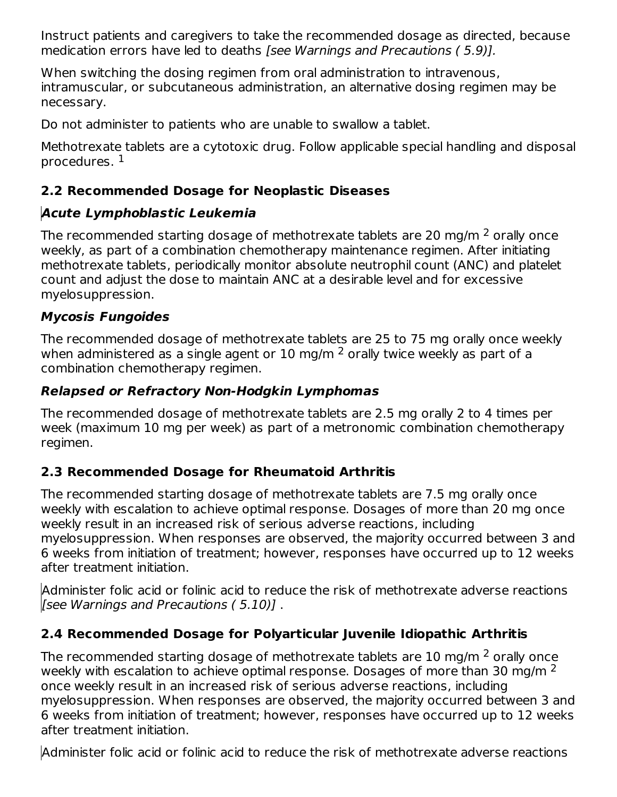Instruct patients and caregivers to take the recommended dosage as directed, because medication errors have led to deaths [see Warnings and Precautions ( 5.9)].

When switching the dosing regimen from oral administration to intravenous, intramuscular, or subcutaneous administration, an alternative dosing regimen may be necessary.

Do not administer to patients who are unable to swallow a tablet.

Methotrexate tablets are a cytotoxic drug. Follow applicable special handling and disposal procedures. 1

# **2.2 Recommended Dosage for Neoplastic Diseases**

# **Acute Lymphoblastic Leukemia**

The recommended starting dosage of methotrexate tablets are 20 mg/m  $^2$  orally once weekly, as part of a combination chemotherapy maintenance regimen. After initiating methotrexate tablets, periodically monitor absolute neutrophil count (ANC) and platelet count and adjust the dose to maintain ANC at a desirable level and for excessive myelosuppression.

# **Mycosis Fungoides**

The recommended dosage of methotrexate tablets are 25 to 75 mg orally once weekly when administered as a single agent or  $10$  mg/m  $^2$  orally twice weekly as part of a combination chemotherapy regimen.

# **Relapsed or Refractory Non-Hodgkin Lymphomas**

The recommended dosage of methotrexate tablets are 2.5 mg orally 2 to 4 times per week (maximum 10 mg per week) as part of a metronomic combination chemotherapy regimen.

# **2.3 Recommended Dosage for Rheumatoid Arthritis**

The recommended starting dosage of methotrexate tablets are 7.5 mg orally once weekly with escalation to achieve optimal response. Dosages of more than 20 mg once weekly result in an increased risk of serious adverse reactions, including myelosuppression. When responses are observed, the majority occurred between 3 and 6 weeks from initiation of treatment; however, responses have occurred up to 12 weeks after treatment initiation.

Administer folic acid or folinic acid to reduce the risk of methotrexate adverse reactions [see Warnings and Precautions ( 5.10)] .

# **2.4 Recommended Dosage for Polyarticular Juvenile Idiopathic Arthritis**

The recommended starting dosage of methotrexate tablets are 10 mg/m  $^2$  orally once weekly with escalation to achieve optimal response. Dosages of more than 30 mg/m  $^2$ once weekly result in an increased risk of serious adverse reactions, including myelosuppression. When responses are observed, the majority occurred between 3 and 6 weeks from initiation of treatment; however, responses have occurred up to 12 weeks after treatment initiation.

Administer folic acid or folinic acid to reduce the risk of methotrexate adverse reactions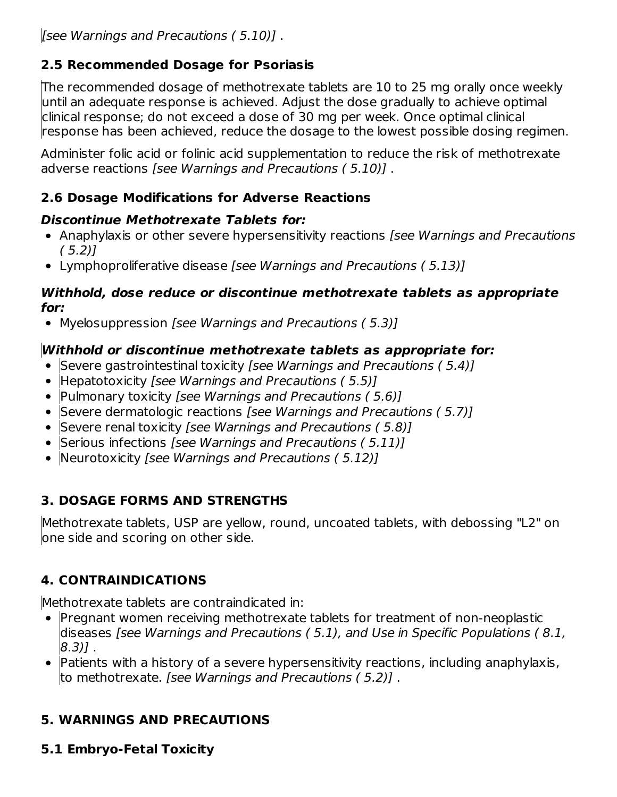[see Warnings and Precautions ( 5.10)] .

# **2.5 Recommended Dosage for Psoriasis**

The recommended dosage of methotrexate tablets are 10 to 25 mg orally once weekly until an adequate response is achieved. Adjust the dose gradually to achieve optimal clinical response; do not exceed a dose of 30 mg per week. Once optimal clinical response has been achieved, reduce the dosage to the lowest possible dosing regimen.

Administer folic acid or folinic acid supplementation to reduce the risk of methotrexate adverse reactions [see Warnings and Precautions ( 5.10)] .

# **2.6 Dosage Modifications for Adverse Reactions**

### **Discontinue Methotrexate Tablets for:**

- Anaphylaxis or other severe hypersensitivity reactions *[see Warnings and Precautions*  $(5.2)$
- Lymphoproliferative disease [see Warnings and Precautions (5.13)]

#### **Withhold, dose reduce or discontinue methotrexate tablets as appropriate for:**

• Myelosuppression [see Warnings and Precautions (5.3)]

# **Withhold or discontinue methotrexate tablets as appropriate for:**

- Severe gastrointestinal toxicity *[see Warnings and Precautions (5.4)]*
- Hepatotoxicity [see Warnings and Precautions (5.5)]
- Pulmonary toxicity *[see Warnings and Precautions (5.6)]*
- Severe dermatologic reactions *[see Warnings and Precautions (5.7)]*
- Severe renal toxicity [see Warnings and Precautions (5.8)]
- Serious infections *[see Warnings and Precautions (5.11)]*
- Neurotoxicity [see Warnings and Precautions (5.12)]

# **3. DOSAGE FORMS AND STRENGTHS**

Methotrexate tablets, USP are yellow, round, uncoated tablets, with debossing "L2" on one side and scoring on other side.

# **4. CONTRAINDICATIONS**

Methotrexate tablets are contraindicated in:

- Pregnant women receiving methotrexate tablets for treatment of non-neoplastic diseases [see Warnings and Precautions ( 5.1), and Use in Specific Populations ( 8.1, 8.3)] .
- Patients with a history of a severe hypersensitivity reactions, including anaphylaxis, to methotrexate. [see Warnings and Precautions ( 5.2)] .

# **5. WARNINGS AND PRECAUTIONS**

**5.1 Embryo-Fetal Toxicity**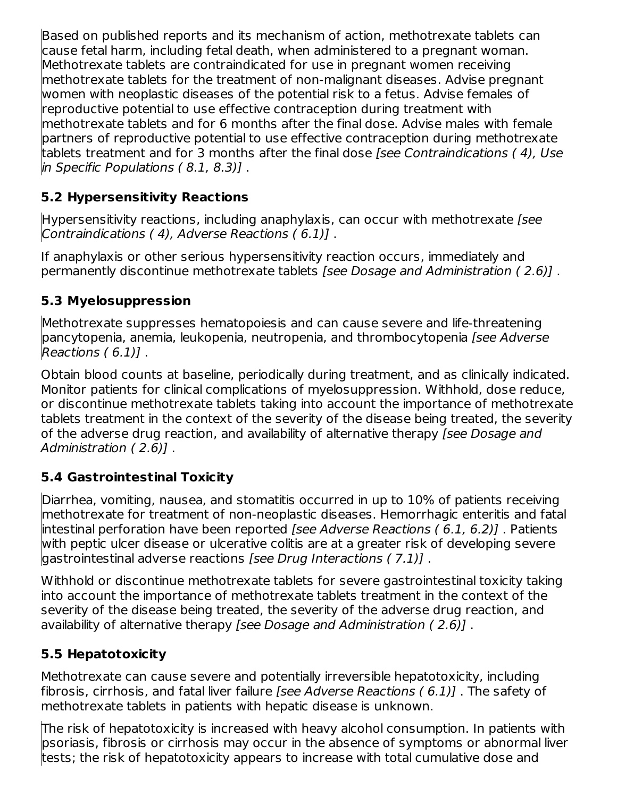Based on published reports and its mechanism of action, methotrexate tablets can cause fetal harm, including fetal death, when administered to a pregnant woman. Methotrexate tablets are contraindicated for use in pregnant women receiving methotrexate tablets for the treatment of non-malignant diseases. Advise pregnant women with neoplastic diseases of the potential risk to a fetus. Advise females of reproductive potential to use effective contraception during treatment with methotrexate tablets and for 6 months after the final dose. Advise males with female partners of reproductive potential to use effective contraception during methotrexate tablets treatment and for 3 months after the final dose [see Contraindications ( 4), Use in Specific Populations ( 8.1, 8.3)] .

# **5.2 Hypersensitivity Reactions**

Hypersensitivity reactions, including anaphylaxis, can occur with methotrexate [see Contraindications ( 4), Adverse Reactions ( 6.1)] .

If anaphylaxis or other serious hypersensitivity reaction occurs, immediately and permanently discontinue methotrexate tablets [see Dosage and Administration ( 2.6)] .

# **5.3 Myelosuppression**

Methotrexate suppresses hematopoiesis and can cause severe and life-threatening pancytopenia, anemia, leukopenia, neutropenia, and thrombocytopenia [see Adverse Reactions ( 6.1)] .

Obtain blood counts at baseline, periodically during treatment, and as clinically indicated. Monitor patients for clinical complications of myelosuppression. Withhold, dose reduce, or discontinue methotrexate tablets taking into account the importance of methotrexate tablets treatment in the context of the severity of the disease being treated, the severity of the adverse drug reaction, and availability of alternative therapy [see Dosage and Administration (2.6)].

# **5.4 Gastrointestinal Toxicity**

Diarrhea, vomiting, nausea, and stomatitis occurred in up to 10% of patients receiving methotrexate for treatment of non-neoplastic diseases. Hemorrhagic enteritis and fatal intestinal perforation have been reported [see Adverse Reactions ( 6.1, 6.2)] . Patients with peptic ulcer disease or ulcerative colitis are at a greater risk of developing severe gastrointestinal adverse reactions [see Drug Interactions ( 7.1)] .

Withhold or discontinue methotrexate tablets for severe gastrointestinal toxicity taking into account the importance of methotrexate tablets treatment in the context of the severity of the disease being treated, the severity of the adverse drug reaction, and availability of alternative therapy [see Dosage and Administration ( 2.6)] .

# **5.5 Hepatotoxicity**

Methotrexate can cause severe and potentially irreversible hepatotoxicity, including fibrosis, cirrhosis, and fatal liver failure *[see Adverse Reactions (6.1)]*. The safety of methotrexate tablets in patients with hepatic disease is unknown.

The risk of hepatotoxicity is increased with heavy alcohol consumption. In patients with psoriasis, fibrosis or cirrhosis may occur in the absence of symptoms or abnormal liver tests; the risk of hepatotoxicity appears to increase with total cumulative dose and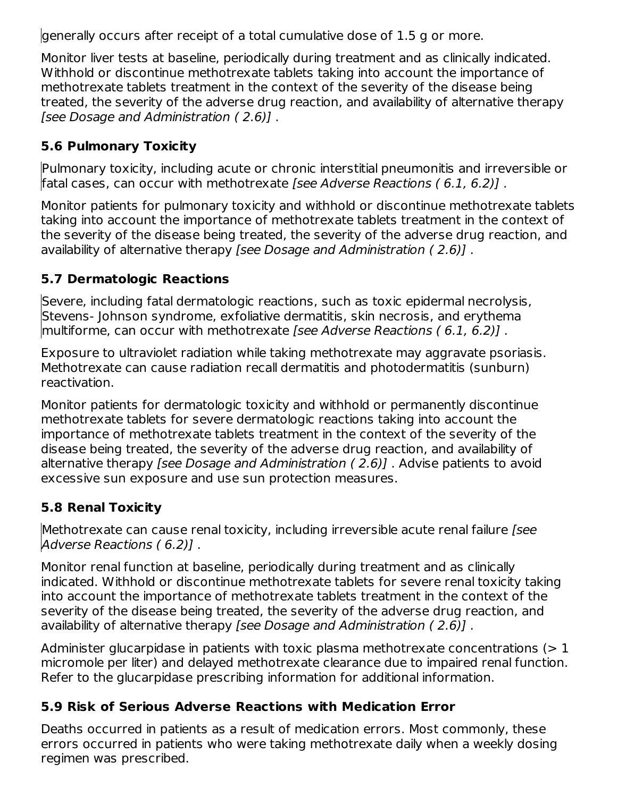generally occurs after receipt of a total cumulative dose of 1.5 g or more.

Monitor liver tests at baseline, periodically during treatment and as clinically indicated. Withhold or discontinue methotrexate tablets taking into account the importance of methotrexate tablets treatment in the context of the severity of the disease being treated, the severity of the adverse drug reaction, and availability of alternative therapy [see Dosage and Administration ( 2.6)] .

# **5.6 Pulmonary Toxicity**

Pulmonary toxicity, including acute or chronic interstitial pneumonitis and irreversible or fatal cases, can occur with methotrexate [see Adverse Reactions ( 6.1, 6.2)] .

Monitor patients for pulmonary toxicity and withhold or discontinue methotrexate tablets taking into account the importance of methotrexate tablets treatment in the context of the severity of the disease being treated, the severity of the adverse drug reaction, and availability of alternative therapy [see Dosage and Administration ( 2.6)] .

# **5.7 Dermatologic Reactions**

Severe, including fatal dermatologic reactions, such as toxic epidermal necrolysis, Stevens- Johnson syndrome, exfoliative dermatitis, skin necrosis, and erythema multiforme, can occur with methotrexate [see Adverse Reactions ( 6.1, 6.2)] .

Exposure to ultraviolet radiation while taking methotrexate may aggravate psoriasis. Methotrexate can cause radiation recall dermatitis and photodermatitis (sunburn) reactivation.

Monitor patients for dermatologic toxicity and withhold or permanently discontinue methotrexate tablets for severe dermatologic reactions taking into account the importance of methotrexate tablets treatment in the context of the severity of the disease being treated, the severity of the adverse drug reaction, and availability of alternative therapy [see Dosage and Administration ( 2.6)] . Advise patients to avoid excessive sun exposure and use sun protection measures.

# **5.8 Renal Toxicity**

Methotrexate can cause renal toxicity, including irreversible acute renal failure *[see*] Adverse Reactions ( 6.2)] .

Monitor renal function at baseline, periodically during treatment and as clinically indicated. Withhold or discontinue methotrexate tablets for severe renal toxicity taking into account the importance of methotrexate tablets treatment in the context of the severity of the disease being treated, the severity of the adverse drug reaction, and availability of alternative therapy [see Dosage and Administration (2.6)].

Administer glucarpidase in patients with toxic plasma methotrexate concentrations  $(>1$ micromole per liter) and delayed methotrexate clearance due to impaired renal function. Refer to the glucarpidase prescribing information for additional information.

# **5.9 Risk of Serious Adverse Reactions with Medication Error**

Deaths occurred in patients as a result of medication errors. Most commonly, these errors occurred in patients who were taking methotrexate daily when a weekly dosing regimen was prescribed.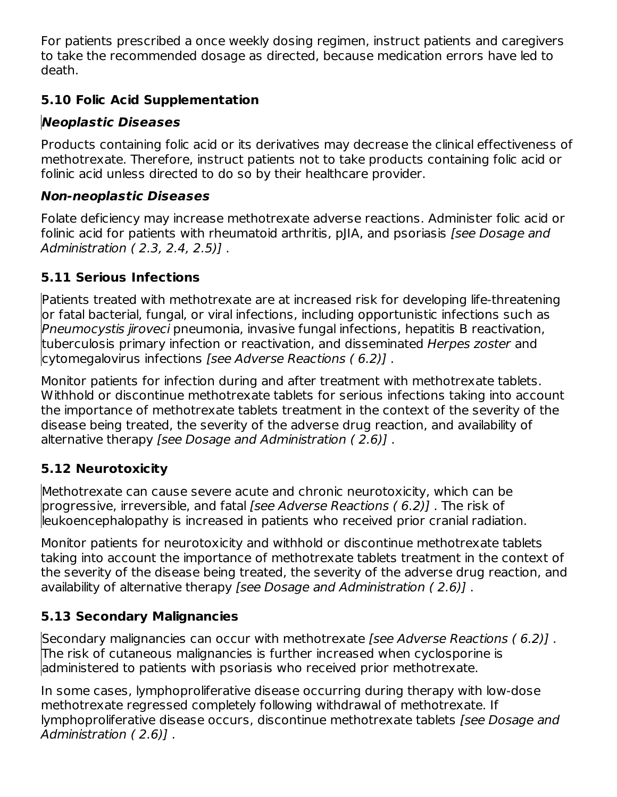For patients prescribed a once weekly dosing regimen, instruct patients and caregivers to take the recommended dosage as directed, because medication errors have led to death.

### **5.10 Folic Acid Supplementation**

### **Neoplastic Diseases**

Products containing folic acid or its derivatives may decrease the clinical effectiveness of methotrexate. Therefore, instruct patients not to take products containing folic acid or folinic acid unless directed to do so by their healthcare provider.

### **Non-neoplastic Diseases**

Folate deficiency may increase methotrexate adverse reactions. Administer folic acid or folinic acid for patients with rheumatoid arthritis, pJIA, and psoriasis [see Dosage and Administration ( 2.3, 2.4, 2.5)] .

# **5.11 Serious Infections**

Patients treated with methotrexate are at increased risk for developing life-threatening or fatal bacterial, fungal, or viral infections, including opportunistic infections such as Pneumocystis jiroveci pneumonia, invasive fungal infections, hepatitis B reactivation, tuberculosis primary infection or reactivation, and disseminated Herpes zoster and cytomegalovirus infections [see Adverse Reactions ( 6.2)] .

Monitor patients for infection during and after treatment with methotrexate tablets. Withhold or discontinue methotrexate tablets for serious infections taking into account the importance of methotrexate tablets treatment in the context of the severity of the disease being treated, the severity of the adverse drug reaction, and availability of alternative therapy [see Dosage and Administration ( 2.6)] .

# **5.12 Neurotoxicity**

Methotrexate can cause severe acute and chronic neurotoxicity, which can be progressive, irreversible, and fatal [see Adverse Reactions ( 6.2)] . The risk of leukoencephalopathy is increased in patients who received prior cranial radiation.

Monitor patients for neurotoxicity and withhold or discontinue methotrexate tablets taking into account the importance of methotrexate tablets treatment in the context of the severity of the disease being treated, the severity of the adverse drug reaction, and availability of alternative therapy [see Dosage and Administration ( 2.6)] .

# **5.13 Secondary Malignancies**

Secondary malignancies can occur with methotrexate [see Adverse Reactions ( 6.2)] . The risk of cutaneous malignancies is further increased when cyclosporine is administered to patients with psoriasis who received prior methotrexate.

In some cases, lymphoproliferative disease occurring during therapy with low-dose methotrexate regressed completely following withdrawal of methotrexate. If lymphoproliferative disease occurs, discontinue methotrexate tablets [see Dosage and Administration ( 2.6)] .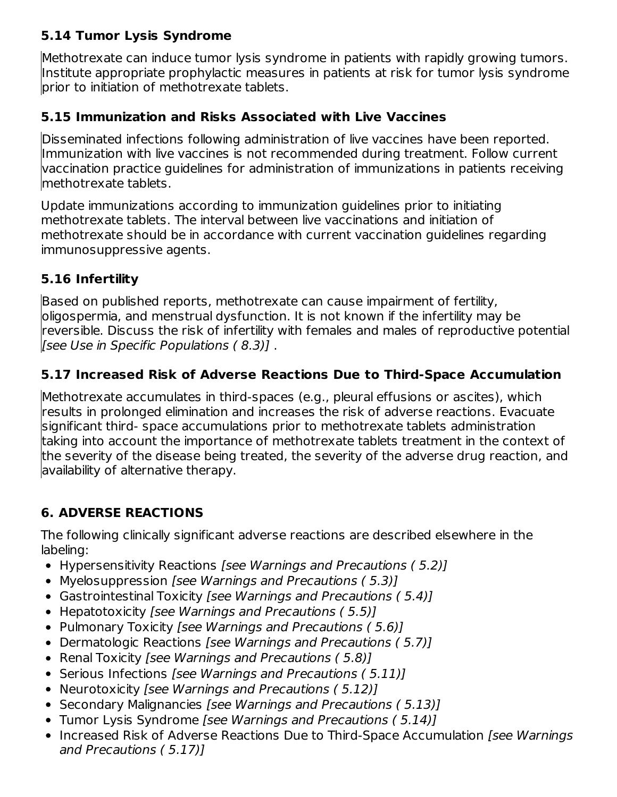# **5.14 Tumor Lysis Syndrome**

Methotrexate can induce tumor lysis syndrome in patients with rapidly growing tumors. Institute appropriate prophylactic measures in patients at risk for tumor lysis syndrome prior to initiation of methotrexate tablets.

# **5.15 Immunization and Risks Associated with Live Vaccines**

Disseminated infections following administration of live vaccines have been reported. Immunization with live vaccines is not recommended during treatment. Follow current vaccination practice guidelines for administration of immunizations in patients receiving methotrexate tablets.

Update immunizations according to immunization guidelines prior to initiating methotrexate tablets. The interval between live vaccinations and initiation of methotrexate should be in accordance with current vaccination guidelines regarding immunosuppressive agents.

# **5.16 Infertility**

Based on published reports, methotrexate can cause impairment of fertility, oligospermia, and menstrual dysfunction. It is not known if the infertility may be reversible. Discuss the risk of infertility with females and males of reproductive potential [see Use in Specific Populations ( 8.3)] .

# **5.17 Increased Risk of Adverse Reactions Due to Third-Space Accumulation**

Methotrexate accumulates in third-spaces (e.g., pleural effusions or ascites), which results in prolonged elimination and increases the risk of adverse reactions. Evacuate significant third- space accumulations prior to methotrexate tablets administration taking into account the importance of methotrexate tablets treatment in the context of the severity of the disease being treated, the severity of the adverse drug reaction, and availability of alternative therapy.

# **6. ADVERSE REACTIONS**

The following clinically significant adverse reactions are described elsewhere in the labeling:

- Hypersensitivity Reactions *[see Warnings and Precautions (5.2)]*
- Myelosuppression [see Warnings and Precautions (5.3)]
- Gastrointestinal Toxicity *[see Warnings and Precautions (5.4)]*
- Hepatotoxicity [see Warnings and Precautions (5.5)]
- Pulmonary Toxicity [see Warnings and Precautions (5.6)]
- Dermatologic Reactions [see Warnings and Precautions (5.7)]
- Renal Toxicity *[see Warnings and Precautions (5.8)]*
- Serious Infections [see Warnings and Precautions (5.11)]
- Neurotoxicity [see Warnings and Precautions (5.12)]
- Secondary Malignancies [see Warnings and Precautions (5.13)]
- Tumor Lysis Syndrome [see Warnings and Precautions (5.14)]
- Increased Risk of Adverse Reactions Due to Third-Space Accumulation *[see Warnings* and Precautions ( 5.17)]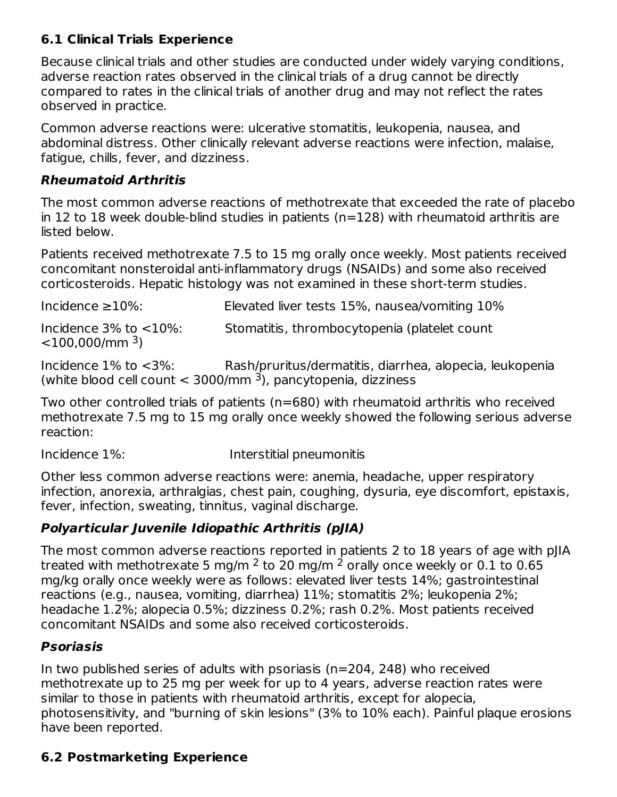### **6.1 Clinical Trials Experience**

Because clinical trials and other studies are conducted under widely varying conditions, adverse reaction rates observed in the clinical trials of a drug cannot be directly compared to rates in the clinical trials of another drug and may not reflect the rates observed in practice.

Common adverse reactions were: ulcerative stomatitis, leukopenia, nausea, and abdominal distress. Other clinically relevant adverse reactions were infection, malaise, fatigue, chills, fever, and dizziness.

### **Rheumatoid Arthritis**

The most common adverse reactions of methotrexate that exceeded the rate of placebo in 12 to 18 week double-blind studies in patients (n=128) with rheumatoid arthritis are listed below.

Patients received methotrexate 7.5 to 15 mg orally once weekly. Most patients received concomitant nonsteroidal anti-inflammatory drugs (NSAIDs) and some also received corticosteroids. Hepatic histology was not examined in these short-term studies.

| Incidence $\geq$ 10%:                                    | Elevated liver tests 15%, nausea/vomiting 10% |
|----------------------------------------------------------|-----------------------------------------------|
| Incidence $3\%$ to $\lt 10\%$ :<br>$<$ 100,000/mm $^3$ ) | Stomatitis, thrombocytopenia (platelet count  |

Incidence 1% to <3%: Rash/pruritus/dermatitis, diarrhea, alopecia, leukopenia (white blood cell count  $<$  3000/mm <sup>3</sup>), pancytopenia, dizziness

Two other controlled trials of patients (n=680) with rheumatoid arthritis who received methotrexate 7.5 mg to 15 mg orally once weekly showed the following serious adverse reaction:

Incidence 1%: Interstitial pneumonitis

Other less common adverse reactions were: anemia, headache, upper respiratory infection, anorexia, arthralgias, chest pain, coughing, dysuria, eye discomfort, epistaxis, fever, infection, sweating, tinnitus, vaginal discharge.

# **Polyarticular Juvenile Idiopathic Arthritis (pJIA)**

The most common adverse reactions reported in patients 2 to 18 years of age with pJIA treated with methotrexate 5 mg/m <sup>2</sup> to 20 mg/m <sup>2</sup> orally once weekly or 0.1 to 0.65 mg/kg orally once weekly were as follows: elevated liver tests 14%; gastrointestinal reactions (e.g., nausea, vomiting, diarrhea) 11%; stomatitis 2%; leukopenia 2%; headache 1.2%; alopecia 0.5%; dizziness 0.2%; rash 0.2%. Most patients received concomitant NSAIDs and some also received corticosteroids.

# **Psoriasis**

In two published series of adults with psoriasis (n=204, 248) who received methotrexate up to 25 mg per week for up to 4 years, adverse reaction rates were similar to those in patients with rheumatoid arthritis, except for alopecia, photosensitivity, and "burning of skin lesions" (3% to 10% each). Painful plaque erosions have been reported.

# **6.2 Postmarketing Experience**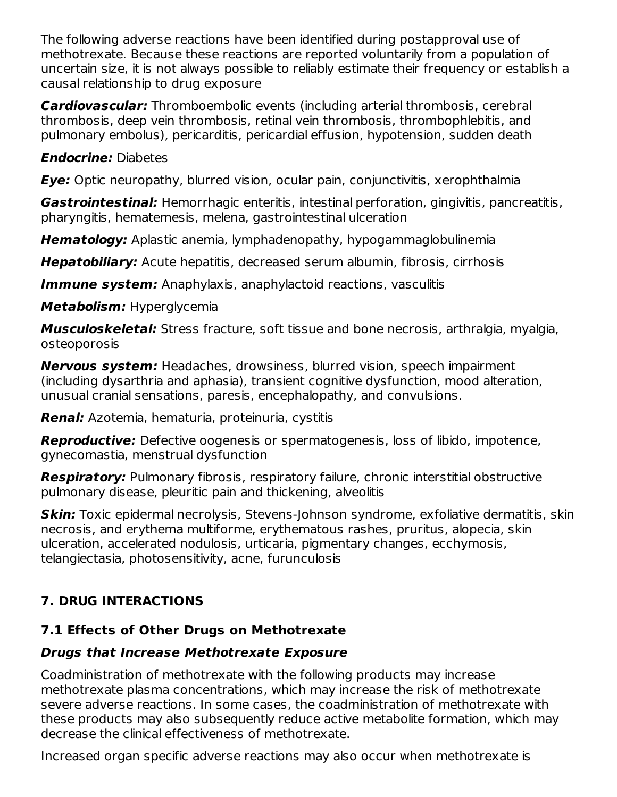The following adverse reactions have been identified during postapproval use of methotrexate. Because these reactions are reported voluntarily from a population of uncertain size, it is not always possible to reliably estimate their frequency or establish a causal relationship to drug exposure

**Cardiovascular:** Thromboembolic events (including arterial thrombosis, cerebral thrombosis, deep vein thrombosis, retinal vein thrombosis, thrombophlebitis, and pulmonary embolus), pericarditis, pericardial effusion, hypotension, sudden death

### **Endocrine:** Diabetes

**Eye:** Optic neuropathy, blurred vision, ocular pain, conjunctivitis, xerophthalmia

**Gastrointestinal:** Hemorrhagic enteritis, intestinal perforation, gingivitis, pancreatitis, pharyngitis, hematemesis, melena, gastrointestinal ulceration

**Hematology:** Aplastic anemia, lymphadenopathy, hypogammaglobulinemia

**Hepatobiliary:** Acute hepatitis, decreased serum albumin, fibrosis, cirrhosis

**Immune system:** Anaphylaxis, anaphylactoid reactions, vasculitis

**Metabolism:** Hyperglycemia

**Musculoskeletal:** Stress fracture, soft tissue and bone necrosis, arthralgia, myalgia, osteoporosis

**Nervous system:** Headaches, drowsiness, blurred vision, speech impairment (including dysarthria and aphasia), transient cognitive dysfunction, mood alteration, unusual cranial sensations, paresis, encephalopathy, and convulsions.

**Renal:** Azotemia, hematuria, proteinuria, cystitis

**Reproductive:** Defective oogenesis or spermatogenesis, loss of libido, impotence, gynecomastia, menstrual dysfunction

**Respiratory:** Pulmonary fibrosis, respiratory failure, chronic interstitial obstructive pulmonary disease, pleuritic pain and thickening, alveolitis

**Skin:** Toxic epidermal necrolysis, Stevens-Johnson syndrome, exfoliative dermatitis, skin necrosis, and erythema multiforme, erythematous rashes, pruritus, alopecia, skin ulceration, accelerated nodulosis, urticaria, pigmentary changes, ecchymosis, telangiectasia, photosensitivity, acne, furunculosis

# **7. DRUG INTERACTIONS**

# **7.1 Effects of Other Drugs on Methotrexate**

# **Drugs that Increase Methotrexate Exposure**

Coadministration of methotrexate with the following products may increase methotrexate plasma concentrations, which may increase the risk of methotrexate severe adverse reactions. In some cases, the coadministration of methotrexate with these products may also subsequently reduce active metabolite formation, which may decrease the clinical effectiveness of methotrexate.

Increased organ specific adverse reactions may also occur when methotrexate is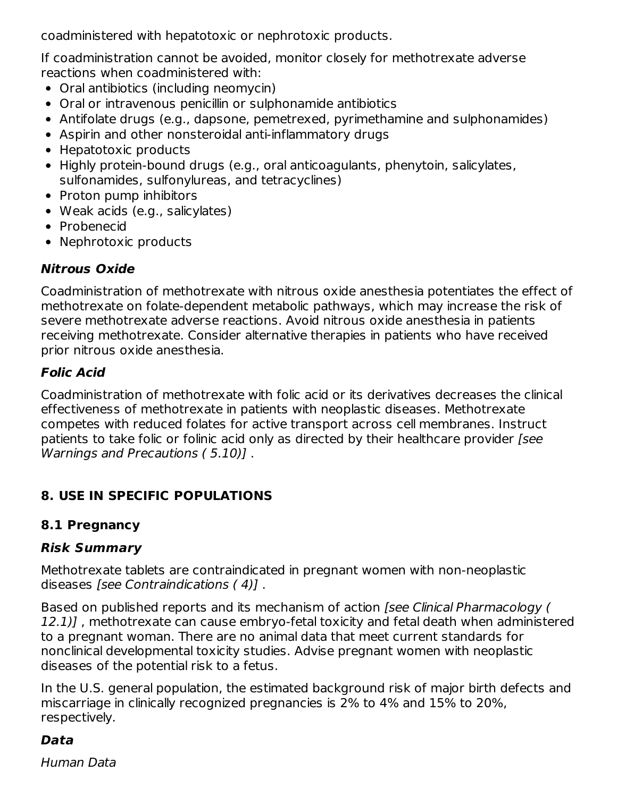coadministered with hepatotoxic or nephrotoxic products.

If coadministration cannot be avoided, monitor closely for methotrexate adverse reactions when coadministered with:

- Oral antibiotics (including neomycin)
- Oral or intravenous penicillin or sulphonamide antibiotics
- Antifolate drugs (e.g., dapsone, pemetrexed, pyrimethamine and sulphonamides)
- Aspirin and other nonsteroidal anti-inflammatory drugs
- Hepatotoxic products
- Highly protein-bound drugs (e.g., oral anticoagulants, phenytoin, salicylates, sulfonamides, sulfonylureas, and tetracyclines)
- Proton pump inhibitors
- Weak acids (e.g., salicylates)
- Probenecid
- Nephrotoxic products

### **Nitrous Oxide**

Coadministration of methotrexate with nitrous oxide anesthesia potentiates the effect of methotrexate on folate-dependent metabolic pathways, which may increase the risk of severe methotrexate adverse reactions. Avoid nitrous oxide anesthesia in patients receiving methotrexate. Consider alternative therapies in patients who have received prior nitrous oxide anesthesia.

# **Folic Acid**

Coadministration of methotrexate with folic acid or its derivatives decreases the clinical effectiveness of methotrexate in patients with neoplastic diseases. Methotrexate competes with reduced folates for active transport across cell membranes. Instruct patients to take folic or folinic acid only as directed by their healthcare provider [see Warnings and Precautions (5.10)].

# **8. USE IN SPECIFIC POPULATIONS**

# **8.1 Pregnancy**

# **Risk Summary**

Methotrexate tablets are contraindicated in pregnant women with non-neoplastic diseases [see Contraindications ( 4)] .

Based on published reports and its mechanism of action [see Clinical Pharmacology ( 12.1)], methotrexate can cause embryo-fetal toxicity and fetal death when administered to a pregnant woman. There are no animal data that meet current standards for nonclinical developmental toxicity studies. Advise pregnant women with neoplastic diseases of the potential risk to a fetus.

In the U.S. general population, the estimated background risk of major birth defects and miscarriage in clinically recognized pregnancies is 2% to 4% and 15% to 20%, respectively.

# **Data**

Human Data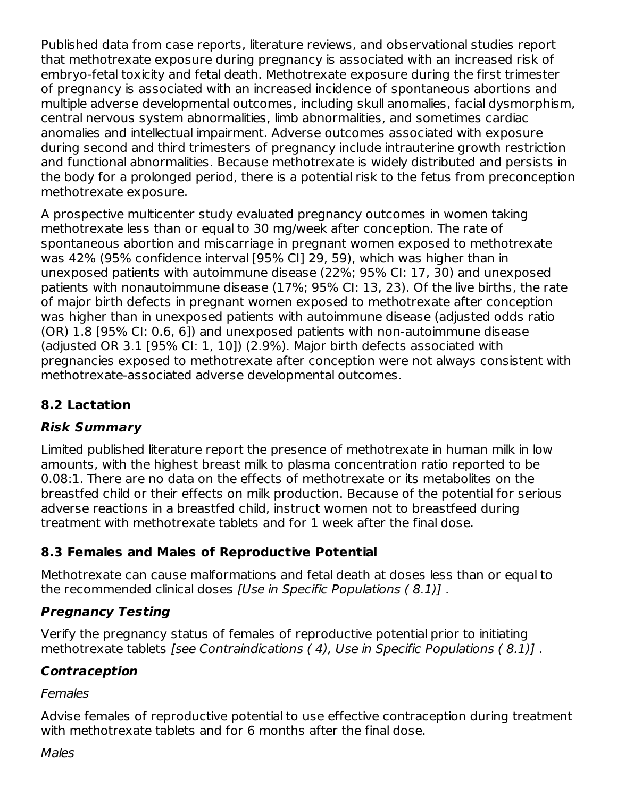Published data from case reports, literature reviews, and observational studies report that methotrexate exposure during pregnancy is associated with an increased risk of embryo-fetal toxicity and fetal death. Methotrexate exposure during the first trimester of pregnancy is associated with an increased incidence of spontaneous abortions and multiple adverse developmental outcomes, including skull anomalies, facial dysmorphism, central nervous system abnormalities, limb abnormalities, and sometimes cardiac anomalies and intellectual impairment. Adverse outcomes associated with exposure during second and third trimesters of pregnancy include intrauterine growth restriction and functional abnormalities. Because methotrexate is widely distributed and persists in the body for a prolonged period, there is a potential risk to the fetus from preconception methotrexate exposure.

A prospective multicenter study evaluated pregnancy outcomes in women taking methotrexate less than or equal to 30 mg/week after conception. The rate of spontaneous abortion and miscarriage in pregnant women exposed to methotrexate was 42% (95% confidence interval [95% CI] 29, 59), which was higher than in unexposed patients with autoimmune disease (22%; 95% CI: 17, 30) and unexposed patients with nonautoimmune disease (17%; 95% CI: 13, 23). Of the live births, the rate of major birth defects in pregnant women exposed to methotrexate after conception was higher than in unexposed patients with autoimmune disease (adjusted odds ratio (OR) 1.8 [95% CI: 0.6, 6]) and unexposed patients with non-autoimmune disease (adjusted OR 3.1 [95% CI: 1, 10]) (2.9%). Major birth defects associated with pregnancies exposed to methotrexate after conception were not always consistent with methotrexate-associated adverse developmental outcomes.

# **8.2 Lactation**

# **Risk Summary**

Limited published literature report the presence of methotrexate in human milk in low amounts, with the highest breast milk to plasma concentration ratio reported to be 0.08:1. There are no data on the effects of methotrexate or its metabolites on the breastfed child or their effects on milk production. Because of the potential for serious adverse reactions in a breastfed child, instruct women not to breastfeed during treatment with methotrexate tablets and for 1 week after the final dose.

# **8.3 Females and Males of Reproductive Potential**

Methotrexate can cause malformations and fetal death at doses less than or equal to the recommended clinical doses [Use in Specific Populations ( 8.1)] .

### **Pregnancy Testing**

Verify the pregnancy status of females of reproductive potential prior to initiating methotrexate tablets [see Contraindications ( 4), Use in Specific Populations ( 8.1)] .

### **Contraception**

### Females

Advise females of reproductive potential to use effective contraception during treatment with methotrexate tablets and for 6 months after the final dose.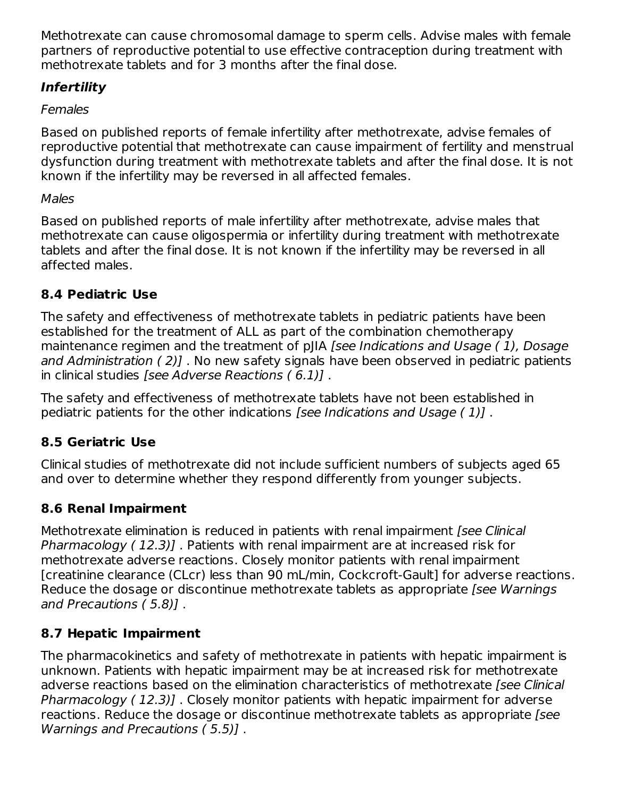Methotrexate can cause chromosomal damage to sperm cells. Advise males with female partners of reproductive potential to use effective contraception during treatment with methotrexate tablets and for 3 months after the final dose.

# **Infertility**

### **Females**

Based on published reports of female infertility after methotrexate, advise females of reproductive potential that methotrexate can cause impairment of fertility and menstrual dysfunction during treatment with methotrexate tablets and after the final dose. It is not known if the infertility may be reversed in all affected females.

### **Males**

Based on published reports of male infertility after methotrexate, advise males that methotrexate can cause oligospermia or infertility during treatment with methotrexate tablets and after the final dose. It is not known if the infertility may be reversed in all affected males.

### **8.4 Pediatric Use**

The safety and effectiveness of methotrexate tablets in pediatric patients have been established for the treatment of ALL as part of the combination chemotherapy maintenance regimen and the treatment of pIIA [see Indications and Usage (1), Dosage and Administration (2). No new safety signals have been observed in pediatric patients in clinical studies [see Adverse Reactions ( 6.1)] .

The safety and effectiveness of methotrexate tablets have not been established in pediatric patients for the other indications [see Indications and Usage ( 1)] .

# **8.5 Geriatric Use**

Clinical studies of methotrexate did not include sufficient numbers of subjects aged 65 and over to determine whether they respond differently from younger subjects.

# **8.6 Renal Impairment**

Methotrexate elimination is reduced in patients with renal impairment [see Clinical Pharmacology (12.3)]. Patients with renal impairment are at increased risk for methotrexate adverse reactions. Closely monitor patients with renal impairment [creatinine clearance (CLcr) less than 90 mL/min, Cockcroft-Gault] for adverse reactions. Reduce the dosage or discontinue methotrexate tablets as appropriate [see Warnings] and Precautions ( 5.8)] .

### **8.7 Hepatic Impairment**

The pharmacokinetics and safety of methotrexate in patients with hepatic impairment is unknown. Patients with hepatic impairment may be at increased risk for methotrexate adverse reactions based on the elimination characteristics of methotrexate [see Clinical Pharmacology (12.3)]. Closely monitor patients with hepatic impairment for adverse reactions. Reduce the dosage or discontinue methotrexate tablets as appropriate [see Warnings and Precautions ( 5.5)] .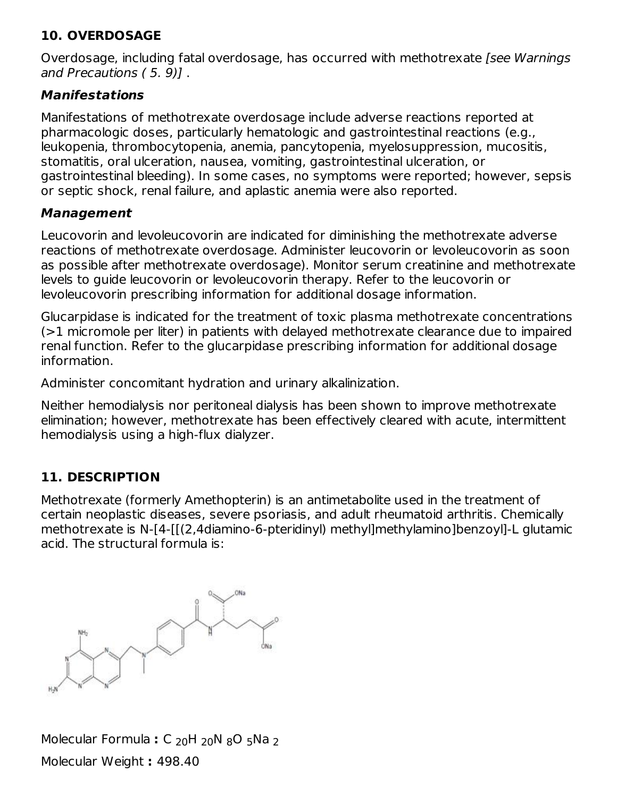### **10. OVERDOSAGE**

Overdosage, including fatal overdosage, has occurred with methotrexate [see Warnings and Precautions ( 5. 9)] .

### **Manifestations**

Manifestations of methotrexate overdosage include adverse reactions reported at pharmacologic doses, particularly hematologic and gastrointestinal reactions (e.g., leukopenia, thrombocytopenia, anemia, pancytopenia, myelosuppression, mucositis, stomatitis, oral ulceration, nausea, vomiting, gastrointestinal ulceration, or gastrointestinal bleeding). In some cases, no symptoms were reported; however, sepsis or septic shock, renal failure, and aplastic anemia were also reported.

### **Management**

Leucovorin and levoleucovorin are indicated for diminishing the methotrexate adverse reactions of methotrexate overdosage. Administer leucovorin or levoleucovorin as soon as possible after methotrexate overdosage). Monitor serum creatinine and methotrexate levels to guide leucovorin or levoleucovorin therapy. Refer to the leucovorin or levoleucovorin prescribing information for additional dosage information.

Glucarpidase is indicated for the treatment of toxic plasma methotrexate concentrations (>1 micromole per liter) in patients with delayed methotrexate clearance due to impaired renal function. Refer to the glucarpidase prescribing information for additional dosage information.

Administer concomitant hydration and urinary alkalinization.

Neither hemodialysis nor peritoneal dialysis has been shown to improve methotrexate elimination; however, methotrexate has been effectively cleared with acute, intermittent hemodialysis using a high-flux dialyzer.

# **11. DESCRIPTION**

Methotrexate (formerly Amethopterin) is an antimetabolite used in the treatment of certain neoplastic diseases, severe psoriasis, and adult rheumatoid arthritis. Chemically methotrexate is N-[4-[[(2,4diamino-6-pteridinyl) methyl]methylamino]benzoyl]-L glutamic acid. The structural formula is:



Molecular Formula **:** C <sub>20</sub>H <sub>20</sub>N <sub>8</sub>O 5</sub>Na <sub>2</sub> Molecular Weight **:** 498.40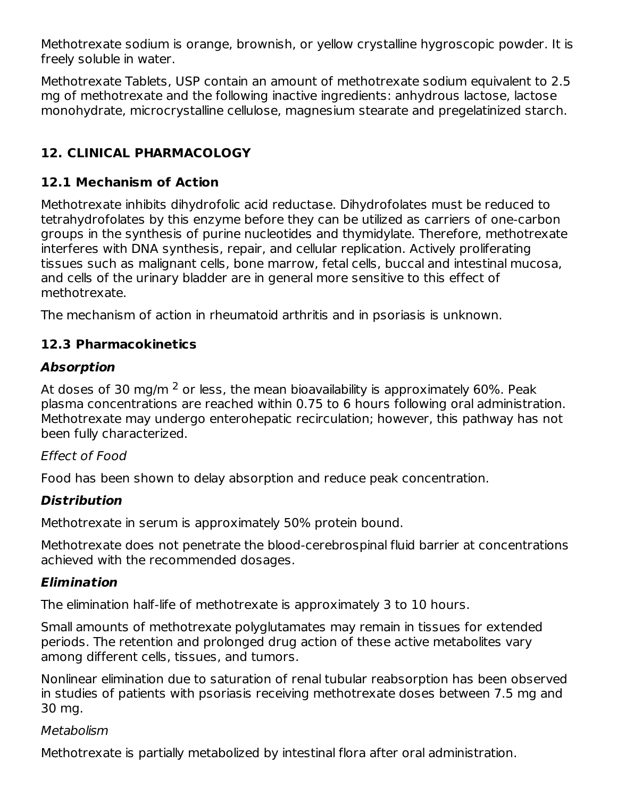Methotrexate sodium is orange, brownish, or yellow crystalline hygroscopic powder. It is freely soluble in water.

Methotrexate Tablets, USP contain an amount of methotrexate sodium equivalent to 2.5 mg of methotrexate and the following inactive ingredients: anhydrous lactose, lactose monohydrate, microcrystalline cellulose, magnesium stearate and pregelatinized starch.

# **12. CLINICAL PHARMACOLOGY**

# **12.1 Mechanism of Action**

Methotrexate inhibits dihydrofolic acid reductase. Dihydrofolates must be reduced to tetrahydrofolates by this enzyme before they can be utilized as carriers of one-carbon groups in the synthesis of purine nucleotides and thymidylate. Therefore, methotrexate interferes with DNA synthesis, repair, and cellular replication. Actively proliferating tissues such as malignant cells, bone marrow, fetal cells, buccal and intestinal mucosa, and cells of the urinary bladder are in general more sensitive to this effect of methotrexate.

The mechanism of action in rheumatoid arthritis and in psoriasis is unknown.

### **12.3 Pharmacokinetics**

### **Absorption**

At doses of 30 mg/m  $^2$  or less, the mean bioavailability is approximately 60%. Peak plasma concentrations are reached within 0.75 to 6 hours following oral administration. Methotrexate may undergo enterohepatic recirculation; however, this pathway has not been fully characterized.

### Effect of Food

Food has been shown to delay absorption and reduce peak concentration.

# **Distribution**

Methotrexate in serum is approximately 50% protein bound.

Methotrexate does not penetrate the blood-cerebrospinal fluid barrier at concentrations achieved with the recommended dosages.

# **Elimination**

The elimination half-life of methotrexate is approximately 3 to 10 hours.

Small amounts of methotrexate polyglutamates may remain in tissues for extended periods. The retention and prolonged drug action of these active metabolites vary among different cells, tissues, and tumors.

Nonlinear elimination due to saturation of renal tubular reabsorption has been observed in studies of patients with psoriasis receiving methotrexate doses between 7.5 mg and 30 mg.

### **Metabolism**

Methotrexate is partially metabolized by intestinal flora after oral administration.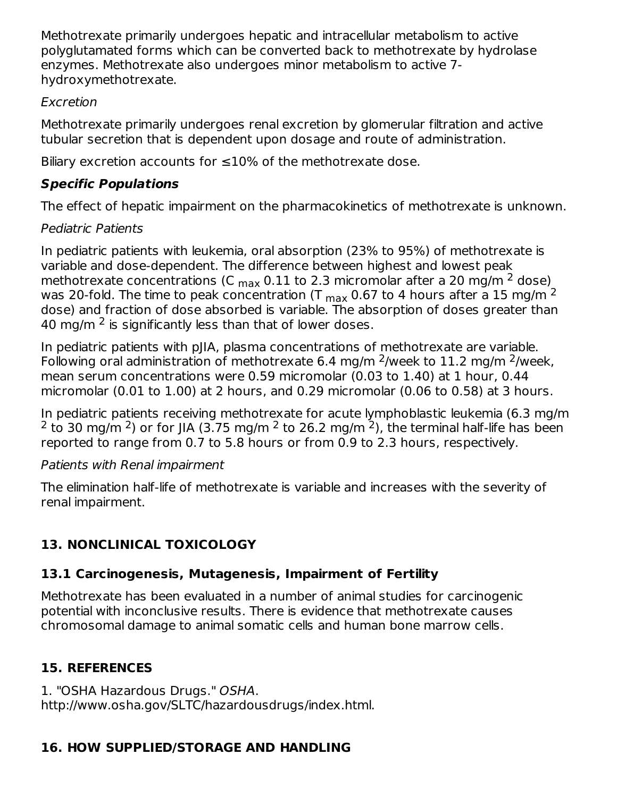Methotrexate primarily undergoes hepatic and intracellular metabolism to active polyglutamated forms which can be converted back to methotrexate by hydrolase enzymes. Methotrexate also undergoes minor metabolism to active 7 hydroxymethotrexate.

### Excretion

Methotrexate primarily undergoes renal excretion by glomerular filtration and active tubular secretion that is dependent upon dosage and route of administration.

Biliary excretion accounts for  $\leq 10\%$  of the methotrexate dose.

# **Specific Populations**

The effect of hepatic impairment on the pharmacokinetics of methotrexate is unknown.

# Pediatric Patients

In pediatric patients with leukemia, oral absorption (23% to 95%) of methotrexate is variable and dose-dependent. The difference between highest and lowest peak methotrexate concentrations (C  $_{\sf max}$  0.11 to 2.3 micromolar after a 20 mg/m <sup>2</sup> dose)<sub>.</sub> was 20-fold. The time to peak concentration (T  $_{\sf max}$  0.67 to 4 hours after a 15 mg/m <sup>2</sup> dose) and fraction of dose absorbed is variable. The absorption of doses greater than 40 mg/m  $^2$  is significantly less than that of lower doses.

In pediatric patients with pJIA, plasma concentrations of methotrexate are variable. Following oral administration of methotrexate 6.4 mg/m  $2$ /week to 11.2 mg/m  $2$ /week, mean serum concentrations were 0.59 micromolar (0.03 to 1.40) at 1 hour, 0.44 micromolar (0.01 to 1.00) at 2 hours, and 0.29 micromolar (0.06 to 0.58) at 3 hours.

In pediatric patients receiving methotrexate for acute lymphoblastic leukemia (6.3 mg/m <sup>2</sup> to 30 mg/m <sup>2</sup>) or for JIA (3.75 mg/m <sup>2</sup> to 26.2 mg/m <sup>2</sup>), the terminal half-life has been reported to range from 0.7 to 5.8 hours or from 0.9 to 2.3 hours, respectively.

### Patients with Renal impairment

The elimination half-life of methotrexate is variable and increases with the severity of renal impairment.

# **13. NONCLINICAL TOXICOLOGY**

# **13.1 Carcinogenesis, Mutagenesis, Impairment of Fertility**

Methotrexate has been evaluated in a number of animal studies for carcinogenic potential with inconclusive results. There is evidence that methotrexate causes chromosomal damage to animal somatic cells and human bone marrow cells.

# **15. REFERENCES**

1. "OSHA Hazardous Drugs." OSHA. http://www.osha.gov/SLTC/hazardousdrugs/index.html.

# **16. HOW SUPPLIED/STORAGE AND HANDLING**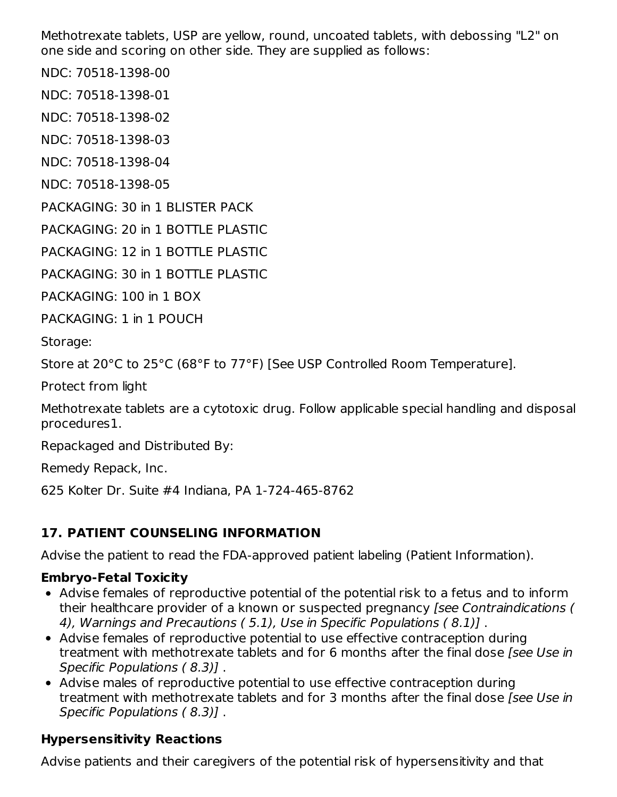Methotrexate tablets, USP are yellow, round, uncoated tablets, with debossing "L2" on one side and scoring on other side. They are supplied as follows:

NDC: 70518-1398-00

NDC: 70518-1398-01

NDC: 70518-1398-02

NDC: 70518-1398-03

NDC: 70518-1398-04

NDC: 70518-1398-05

PACKAGING: 30 in 1 BLISTER PACK

PACKAGING: 20 in 1 BOTTLE PLASTIC

PACKAGING: 12 in 1 BOTTLE PLASTIC

PACKAGING: 30 in 1 BOTTLE PLASTIC

PACKAGING: 100 in 1 BOX

PACKAGING: 1 in 1 POUCH

Storage:

Store at 20°C to 25°C (68°F to 77°F) [See USP Controlled Room Temperature].

Protect from light

Methotrexate tablets are a cytotoxic drug. Follow applicable special handling and disposal procedures1.

Repackaged and Distributed By:

Remedy Repack, Inc.

625 Kolter Dr. Suite #4 Indiana, PA 1-724-465-8762

# **17. PATIENT COUNSELING INFORMATION**

Advise the patient to read the FDA-approved patient labeling (Patient Information).

#### **Embryo-Fetal Toxicity**

- Advise females of reproductive potential of the potential risk to a fetus and to inform their healthcare provider of a known or suspected pregnancy [see Contraindications ( 4), Warnings and Precautions ( 5.1), Use in Specific Populations ( 8.1)] .
- Advise females of reproductive potential to use effective contraception during treatment with methotrexate tablets and for 6 months after the final dose [see Use in Specific Populations ( 8.3)] .
- Advise males of reproductive potential to use effective contraception during treatment with methotrexate tablets and for 3 months after the final dose [see Use in Specific Populations ( 8.3)] .

### **Hypersensitivity Reactions**

Advise patients and their caregivers of the potential risk of hypersensitivity and that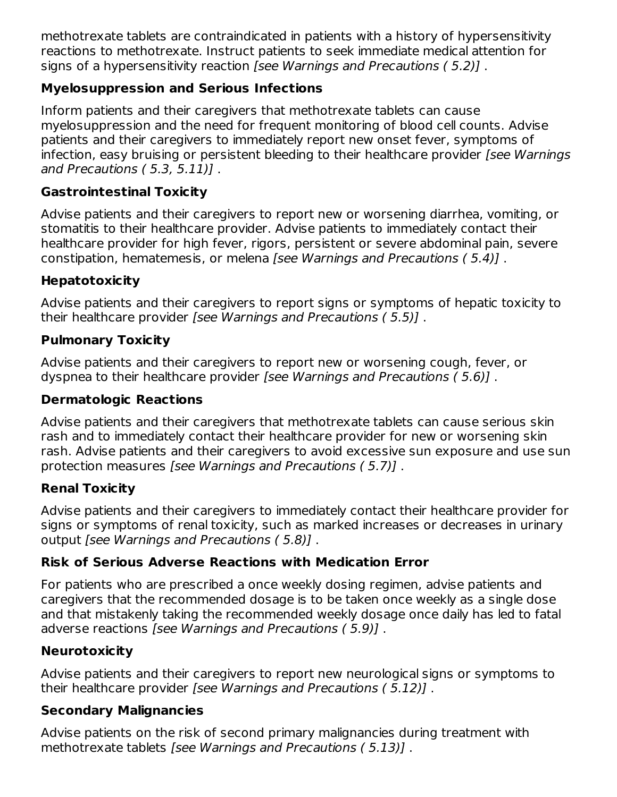methotrexate tablets are contraindicated in patients with a history of hypersensitivity reactions to methotrexate. Instruct patients to seek immediate medical attention for signs of a hypersensitivity reaction [see Warnings and Precautions ( 5.2)] .

### **Myelosuppression and Serious Infections**

Inform patients and their caregivers that methotrexate tablets can cause myelosuppression and the need for frequent monitoring of blood cell counts. Advise patients and their caregivers to immediately report new onset fever, symptoms of infection, easy bruising or persistent bleeding to their healthcare provider [see Warnings and Precautions ( 5.3, 5.11)] .

# **Gastrointestinal Toxicity**

Advise patients and their caregivers to report new or worsening diarrhea, vomiting, or stomatitis to their healthcare provider. Advise patients to immediately contact their healthcare provider for high fever, rigors, persistent or severe abdominal pain, severe constipation, hematemesis, or melena [see Warnings and Precautions ( 5.4)] .

# **Hepatotoxicity**

Advise patients and their caregivers to report signs or symptoms of hepatic toxicity to their healthcare provider [see Warnings and Precautions ( 5.5)] .

# **Pulmonary Toxicity**

Advise patients and their caregivers to report new or worsening cough, fever, or dyspnea to their healthcare provider [see Warnings and Precautions ( 5.6)] .

### **Dermatologic Reactions**

Advise patients and their caregivers that methotrexate tablets can cause serious skin rash and to immediately contact their healthcare provider for new or worsening skin rash. Advise patients and their caregivers to avoid excessive sun exposure and use sun protection measures [see Warnings and Precautions ( 5.7)] .

# **Renal Toxicity**

Advise patients and their caregivers to immediately contact their healthcare provider for signs or symptoms of renal toxicity, such as marked increases or decreases in urinary output [see Warnings and Precautions ( 5.8)] .

# **Risk of Serious Adverse Reactions with Medication Error**

For patients who are prescribed a once weekly dosing regimen, advise patients and caregivers that the recommended dosage is to be taken once weekly as a single dose and that mistakenly taking the recommended weekly dosage once daily has led to fatal adverse reactions [see Warnings and Precautions ( 5.9)] .

# **Neurotoxicity**

Advise patients and their caregivers to report new neurological signs or symptoms to their healthcare provider [see Warnings and Precautions ( 5.12)] .

# **Secondary Malignancies**

Advise patients on the risk of second primary malignancies during treatment with methotrexate tablets [see Warnings and Precautions ( 5.13)] .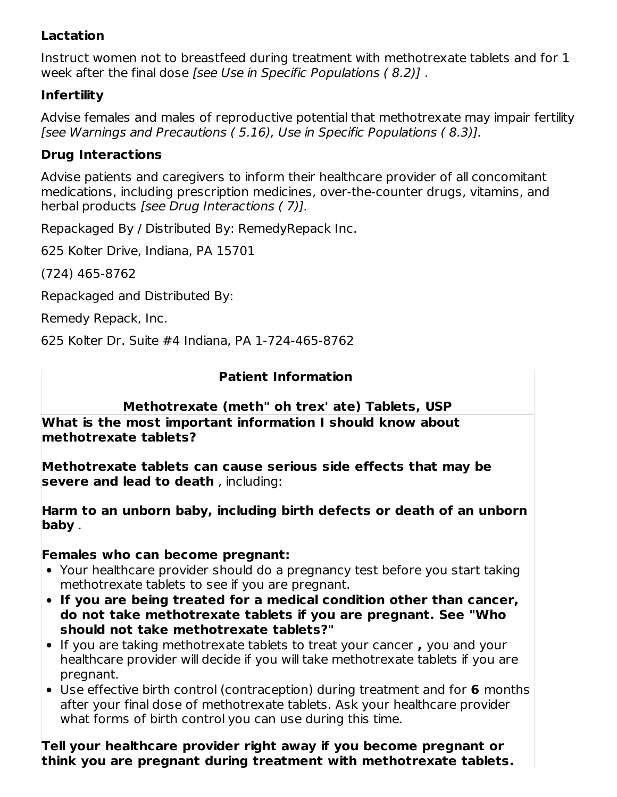### **Lactation**

Instruct women not to breastfeed during treatment with methotrexate tablets and for 1 week after the final dose [see Use in Specific Populations (8.2)].

### **Infertility**

Advise females and males of reproductive potential that methotrexate may impair fertility [see Warnings and Precautions ( 5.16), Use in Specific Populations ( 8.3)].

### **Drug Interactions**

Advise patients and caregivers to inform their healthcare provider of all concomitant medications, including prescription medicines, over-the-counter drugs, vitamins, and herbal products [see Drug Interactions ( 7)].

Repackaged By / Distributed By: RemedyRepack Inc.

625 Kolter Drive, Indiana, PA 15701

(724) 465-8762

Repackaged and Distributed By:

Remedy Repack, Inc.

625 Kolter Dr. Suite #4 Indiana, PA 1-724-465-8762

### **Patient Information**

# **Methotrexate (meth" oh trex' ate) Tablets, USP**

**What is the most important information I should know about methotrexate tablets?**

**Methotrexate tablets can cause serious side effects that may be severe and lead to death** , including:

**Harm to an unborn baby, including birth defects or death of an unborn baby** .

### **Females who can become pregnant:**

- Your healthcare provider should do a pregnancy test before you start taking methotrexate tablets to see if you are pregnant.
- **If you are being treated for a medical condition other than cancer, do not take methotrexate tablets if you are pregnant. See "Who should not take methotrexate tablets?"**
- If you are taking methotrexate tablets to treat your cancer **,** you and your healthcare provider will decide if you will take methotrexate tablets if you are pregnant.
- Use effective birth control (contraception) during treatment and for **6** months after your final dose of methotrexate tablets. Ask your healthcare provider what forms of birth control you can use during this time.

#### **Tell your healthcare provider right away if you become pregnant or think you are pregnant during treatment with methotrexate tablets.**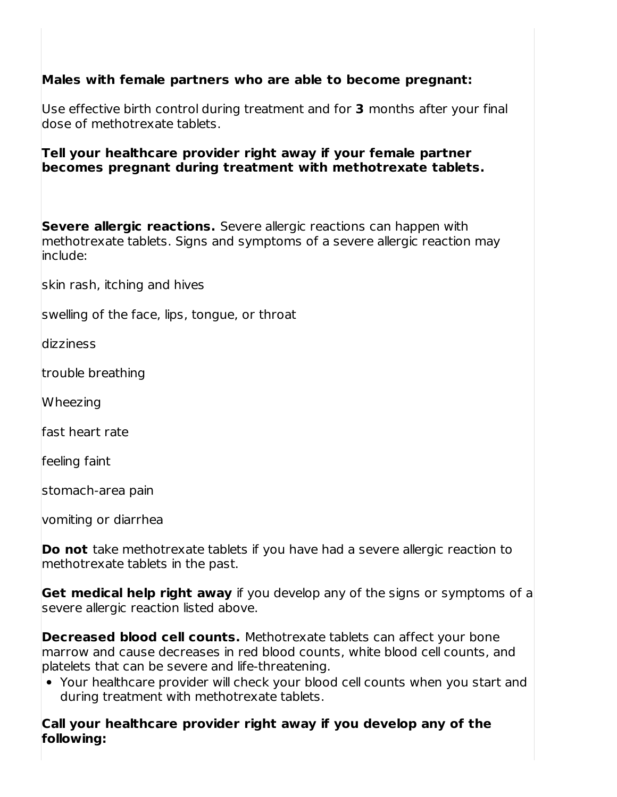### **Males with female partners who are able to become pregnant:**

Use effective birth control during treatment and for **3** months after your final dose of methotrexate tablets.

#### **Tell your healthcare provider right away if your female partner becomes pregnant during treatment with methotrexate tablets.**

**Severe allergic reactions.** Severe allergic reactions can happen with methotrexate tablets. Signs and symptoms of a severe allergic reaction may include:

skin rash, itching and hives

swelling of the face, lips, tongue, or throat

dizziness

trouble breathing

Wheezing

fast heart rate

feeling faint

stomach-area pain

vomiting or diarrhea

**Do not** take methotrexate tablets if you have had a severe allergic reaction to methotrexate tablets in the past.

**Get medical help right away** if you develop any of the signs or symptoms of a severe allergic reaction listed above.

**Decreased blood cell counts.** Methotrexate tablets can affect your bone marrow and cause decreases in red blood counts, white blood cell counts, and platelets that can be severe and life-threatening.

Your healthcare provider will check your blood cell counts when you start and during treatment with methotrexate tablets.

**Call your healthcare provider right away if you develop any of the following:**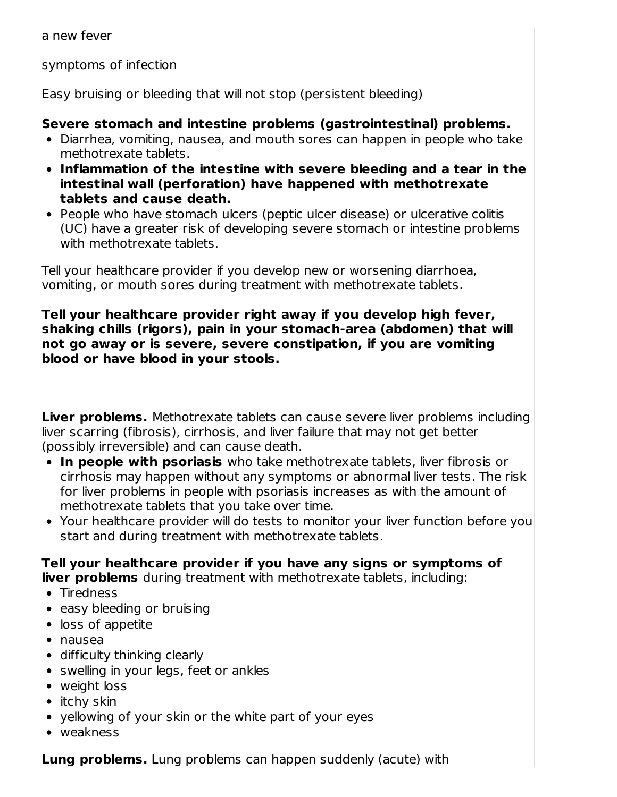a new fever

symptoms of infection

Easy bruising or bleeding that will not stop (persistent bleeding)

### **Severe stomach and intestine problems (gastrointestinal) problems.**

- Diarrhea, vomiting, nausea, and mouth sores can happen in people who take methotrexate tablets.
- **Inflammation of the intestine with severe bleeding and a tear in the intestinal wall (perforation) have happened with methotrexate tablets and cause death.**
- People who have stomach ulcers (peptic ulcer disease) or ulcerative colitis (UC) have a greater risk of developing severe stomach or intestine problems with methotrexate tablets.

Tell your healthcare provider if you develop new or worsening diarrhoea, vomiting, or mouth sores during treatment with methotrexate tablets.

**Tell your healthcare provider right away if you develop high fever, shaking chills (rigors), pain in your stomach-area (abdomen) that will not go away or is severe, severe constipation, if you are vomiting blood or have blood in your stools.**

**Liver problems.** Methotrexate tablets can cause severe liver problems including liver scarring (fibrosis), cirrhosis, and liver failure that may not get better (possibly irreversible) and can cause death.

- **In people with psoriasis** who take methotrexate tablets, liver fibrosis or cirrhosis may happen without any symptoms or abnormal liver tests. The risk for liver problems in people with psoriasis increases as with the amount of methotrexate tablets that you take over time.
- Your healthcare provider will do tests to monitor your liver function before you start and during treatment with methotrexate tablets.

**Tell your healthcare provider if you have any signs or symptoms of liver problems** during treatment with methotrexate tablets, including:

- Tiredness
- easy bleeding or bruising
- loss of appetite
- nausea
- difficulty thinking clearly
- swelling in your legs, feet or ankles
- weight loss
- $\bullet$  itchy skin
- yellowing of your skin or the white part of your eyes
- weakness

**Lung problems.** Lung problems can happen suddenly (acute) with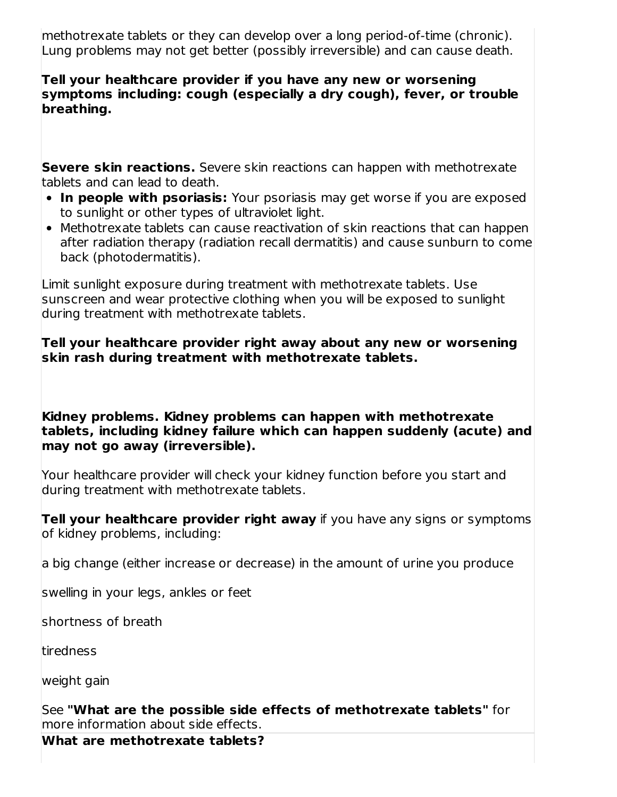methotrexate tablets or they can develop over a long period-of-time (chronic). Lung problems may not get better (possibly irreversible) and can cause death.

**Tell your healthcare provider if you have any new or worsening symptoms including: cough (especially a dry cough), fever, or trouble breathing.**

**Severe skin reactions.** Severe skin reactions can happen with methotrexate tablets and can lead to death.

- **In people with psoriasis:** Your psoriasis may get worse if you are exposed to sunlight or other types of ultraviolet light.
- Methotrexate tablets can cause reactivation of skin reactions that can happen after radiation therapy (radiation recall dermatitis) and cause sunburn to come back (photodermatitis).

Limit sunlight exposure during treatment with methotrexate tablets. Use sunscreen and wear protective clothing when you will be exposed to sunlight during treatment with methotrexate tablets.

**Tell your healthcare provider right away about any new or worsening skin rash during treatment with methotrexate tablets.**

**Kidney problems. Kidney problems can happen with methotrexate tablets, including kidney failure which can happen suddenly (acute) and may not go away (irreversible).**

Your healthcare provider will check your kidney function before you start and during treatment with methotrexate tablets.

**Tell your healthcare provider right away** if you have any signs or symptoms of kidney problems, including:

a big change (either increase or decrease) in the amount of urine you produce

swelling in your legs, ankles or feet

shortness of breath

tiredness

weight gain

See **"What are the possible side effects of methotrexate tablets"** for more information about side effects.

**What are methotrexate tablets?**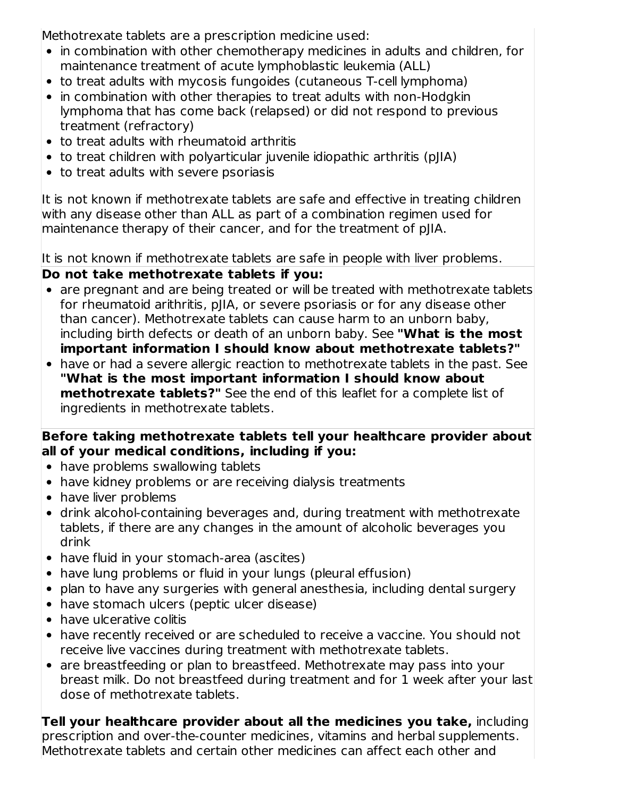Methotrexate tablets are a prescription medicine used:

- in combination with other chemotherapy medicines in adults and children, for maintenance treatment of acute lymphoblastic leukemia (ALL)
- to treat adults with mycosis fungoides (cutaneous T-cell lymphoma)
- in combination with other therapies to treat adults with non-Hodgkin lymphoma that has come back (relapsed) or did not respond to previous treatment (refractory)
- to treat adults with rheumatoid arthritis
- to treat children with polyarticular juvenile idiopathic arthritis (pJIA)
- to treat adults with severe psoriasis

It is not known if methotrexate tablets are safe and effective in treating children with any disease other than ALL as part of a combination regimen used for maintenance therapy of their cancer, and for the treatment of pJIA.

It is not known if methotrexate tablets are safe in people with liver problems.

### **Do not take methotrexate tablets if you:**

- are pregnant and are being treated or will be treated with methotrexate tablets for rheumatoid arithritis, pJIA, or severe psoriasis or for any disease other than cancer). Methotrexate tablets can cause harm to an unborn baby, including birth defects or death of an unborn baby. See **"What is the most important information I should know about methotrexate tablets?"**
- have or had a severe allergic reaction to methotrexate tablets in the past. See **"What is the most important information I should know about methotrexate tablets?"** See the end of this leaflet for a complete list of ingredients in methotrexate tablets.

### **Before taking methotrexate tablets tell your healthcare provider about all of your medical conditions, including if you:**

- have problems swallowing tablets
- have kidney problems or are receiving dialysis treatments
- have liver problems
- drink alcohol-containing beverages and, during treatment with methotrexate tablets, if there are any changes in the amount of alcoholic beverages you drink
- have fluid in your stomach-area (ascites)
- have lung problems or fluid in your lungs (pleural effusion)
- plan to have any surgeries with general anesthesia, including dental surgery
- have stomach ulcers (peptic ulcer disease)
- have ulcerative colitis
- have recently received or are scheduled to receive a vaccine. You should not receive live vaccines during treatment with methotrexate tablets.
- are breastfeeding or plan to breastfeed. Methotrexate may pass into your breast milk. Do not breastfeed during treatment and for 1 week after your last dose of methotrexate tablets.

**Tell your healthcare provider about all the medicines you take,** including prescription and over-the-counter medicines, vitamins and herbal supplements. Methotrexate tablets and certain other medicines can affect each other and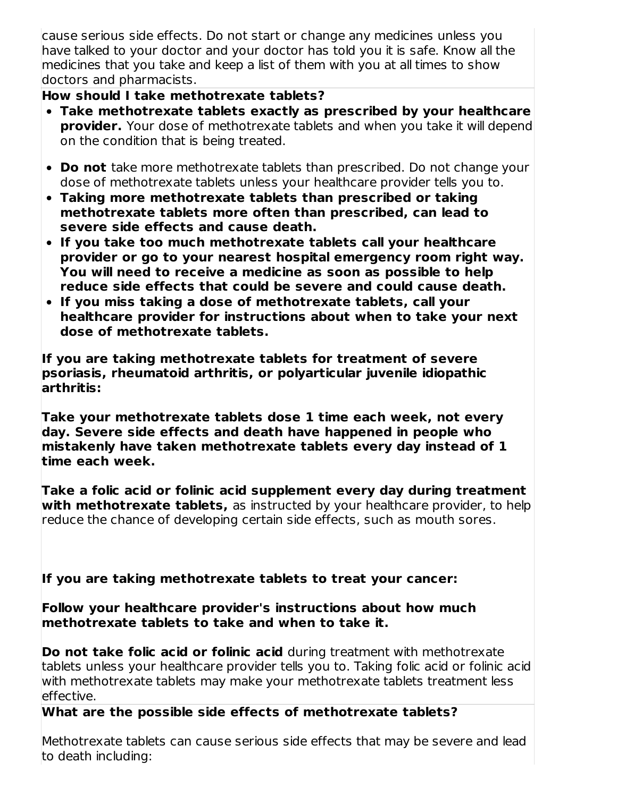cause serious side effects. Do not start or change any medicines unless you have talked to your doctor and your doctor has told you it is safe. Know all the medicines that you take and keep a list of them with you at all times to show doctors and pharmacists.

#### **How should I take methotrexate tablets?**

- **Take methotrexate tablets exactly as prescribed by your healthcare provider.** Your dose of methotrexate tablets and when you take it will depend on the condition that is being treated.
- **Do not** take more methotrexate tablets than prescribed. Do not change your dose of methotrexate tablets unless your healthcare provider tells you to.
- **Taking more methotrexate tablets than prescribed or taking methotrexate tablets more often than prescribed, can lead to severe side effects and cause death.**
- **If you take too much methotrexate tablets call your healthcare provider or go to your nearest hospital emergency room right way. You will need to receive a medicine as soon as possible to help reduce side effects that could be severe and could cause death.**
- **If you miss taking a dose of methotrexate tablets, call your healthcare provider for instructions about when to take your next dose of methotrexate tablets.**

**If you are taking methotrexate tablets for treatment of severe psoriasis, rheumatoid arthritis, or polyarticular juvenile idiopathic arthritis:**

**Take your methotrexate tablets dose 1 time each week, not every day. Severe side effects and death have happened in people who mistakenly have taken methotrexate tablets every day instead of 1 time each week.**

**Take a folic acid or folinic acid supplement every day during treatment with methotrexate tablets,** as instructed by your healthcare provider, to help reduce the chance of developing certain side effects, such as mouth sores.

**If you are taking methotrexate tablets to treat your cancer:**

**Follow your healthcare provider's instructions about how much methotrexate tablets to take and when to take it.**

**Do not take folic acid or folinic acid** during treatment with methotrexate tablets unless your healthcare provider tells you to. Taking folic acid or folinic acid with methotrexate tablets may make your methotrexate tablets treatment less effective.

**What are the possible side effects of methotrexate tablets?**

Methotrexate tablets can cause serious side effects that may be severe and lead to death including: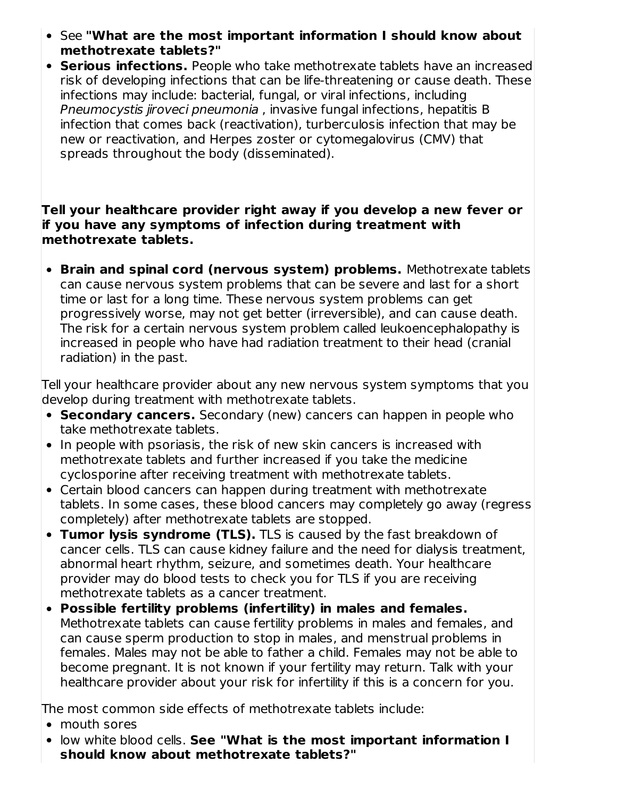- See **"What are the most important information I should know about methotrexate tablets?"**
- **Serious infections.** People who take methotrexate tablets have an increased risk of developing infections that can be life-threatening or cause death. These infections may include: bacterial, fungal, or viral infections, including Pneumocystis jiroveci pneumonia , invasive fungal infections, hepatitis B infection that comes back (reactivation), turberculosis infection that may be new or reactivation, and Herpes zoster or cytomegalovirus (CMV) that spreads throughout the body (disseminated).

#### **Tell your healthcare provider right away if you develop a new fever or if you have any symptoms of infection during treatment with methotrexate tablets.**

**Brain and spinal cord (nervous system) problems.** Methotrexate tablets can cause nervous system problems that can be severe and last for a short time or last for a long time. These nervous system problems can get progressively worse, may not get better (irreversible), and can cause death. The risk for a certain nervous system problem called leukoencephalopathy is increased in people who have had radiation treatment to their head (cranial radiation) in the past.

Tell your healthcare provider about any new nervous system symptoms that you develop during treatment with methotrexate tablets.

- **Secondary cancers.** Secondary (new) cancers can happen in people who take methotrexate tablets.
- In people with psoriasis, the risk of new skin cancers is increased with methotrexate tablets and further increased if you take the medicine cyclosporine after receiving treatment with methotrexate tablets.
- Certain blood cancers can happen during treatment with methotrexate tablets. In some cases, these blood cancers may completely go away (regress completely) after methotrexate tablets are stopped.
- **Tumor lysis syndrome (TLS).** TLS is caused by the fast breakdown of cancer cells. TLS can cause kidney failure and the need for dialysis treatment, abnormal heart rhythm, seizure, and sometimes death. Your healthcare provider may do blood tests to check you for TLS if you are receiving methotrexate tablets as a cancer treatment.
- **Possible fertility problems (infertility) in males and females.** Methotrexate tablets can cause fertility problems in males and females, and can cause sperm production to stop in males, and menstrual problems in females. Males may not be able to father a child. Females may not be able to become pregnant. It is not known if your fertility may return. Talk with your healthcare provider about your risk for infertility if this is a concern for you.

The most common side effects of methotrexate tablets include:

- mouth sores
- low white blood cells. **See "What is the most important information I should know about methotrexate tablets?"**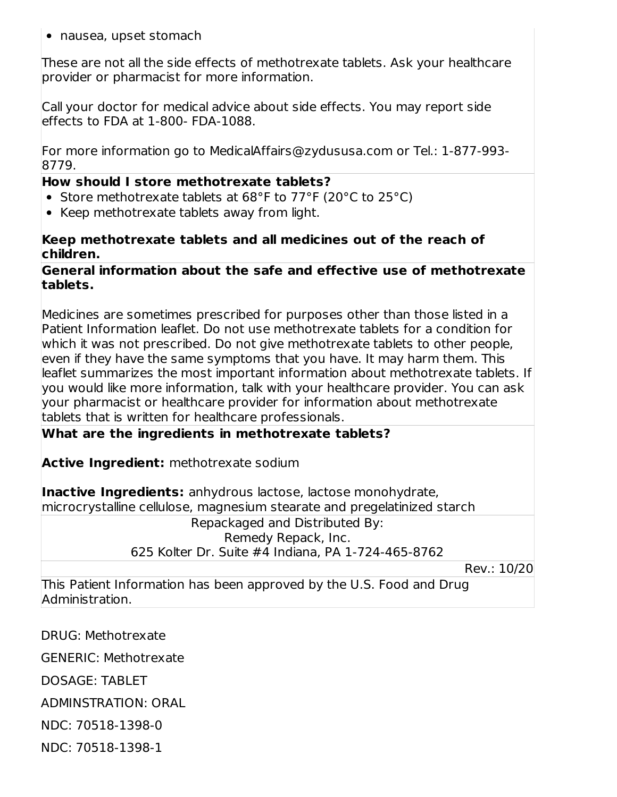• nausea, upset stomach

These are not all the side effects of methotrexate tablets. Ask your healthcare provider or pharmacist for more information.

Call your doctor for medical advice about side effects. You may report side effects to FDA at 1-800- FDA-1088.

For more information go to MedicalAffairs@zydususa.com or Tel.: 1-877-993- 8779.

#### **How should I store methotrexate tablets?**

- Store methotrexate tablets at 68°F to 77°F (20°C to 25°C)
- Keep methotrexate tablets away from light.

#### **Keep methotrexate tablets and all medicines out of the reach of children.**

#### **General information about the safe and effective use of methotrexate tablets.**

Medicines are sometimes prescribed for purposes other than those listed in a Patient Information leaflet. Do not use methotrexate tablets for a condition for which it was not prescribed. Do not give methotrexate tablets to other people, even if they have the same symptoms that you have. It may harm them. This leaflet summarizes the most important information about methotrexate tablets. If you would like more information, talk with your healthcare provider. You can ask your pharmacist or healthcare provider for information about methotrexate tablets that is written for healthcare professionals.

### **What are the ingredients in methotrexate tablets?**

**Active Ingredient:** methotrexate sodium

**Inactive Ingredients:** anhydrous lactose, lactose monohydrate, microcrystalline cellulose, magnesium stearate and pregelatinized starch

> Repackaged and Distributed By: Remedy Repack, Inc. 625 Kolter Dr. Suite #4 Indiana, PA 1-724-465-8762

> > Rev.: 10/20

This Patient Information has been approved by the U.S. Food and Drug Administration.

DRUG: Methotrexate GENERIC: Methotrexate DOSAGE: TABLET ADMINSTRATION: ORAL NDC: 70518-1398-0

NDC: 70518-1398-1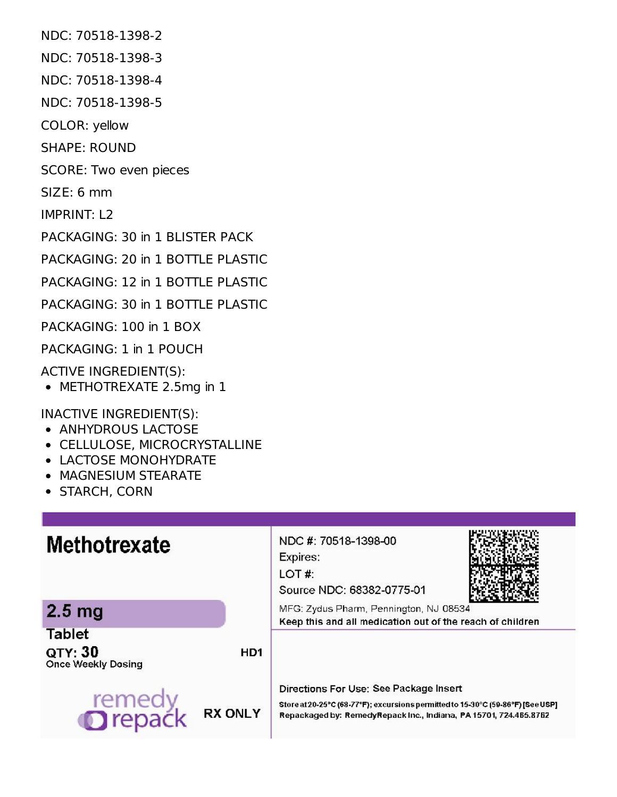NDC: 70518-1398-2

- NDC: 70518-1398-3
- NDC: 70518-1398-4

NDC: 70518-1398-5

- COLOR: yellow
- SHAPE: ROUND
- SCORE: Two even pieces

SIZE: 6 mm

IMPRINT: L2

PACKAGING: 30 in 1 BLISTER PACK

PACKAGING: 20 in 1 BOTTLE PLASTIC

PACKAGING: 12 in 1 BOTTLE PLASTIC

PACKAGING: 30 in 1 BOTTLE PLASTIC

PACKAGING: 100 in 1 BOX

PACKAGING: 1 in 1 POUCH

ACTIVE INGREDIENT(S):

METHOTREXATE 2.5mg in 1

INACTIVE INGREDIENT(S):

- ANHYDROUS LACTOSE
- CELLULOSE, MICROCRYSTALLINE
- LACTOSE MONOHYDRATE
- **MAGNESIUM STEARATE**
- STARCH, CORN

| <b>Methotrexate</b>                            |                | NDC #: 70518-1398-00<br>Expires:<br>LOT#:<br>Source NDC: 68382-0775-01                                                                                                                         |
|------------------------------------------------|----------------|------------------------------------------------------------------------------------------------------------------------------------------------------------------------------------------------|
| 2.5 <sub>mg</sub>                              |                | MFG: Zydus Pharm, Pennington, NJ 08534<br>Keep this and all medication out of the reach of children                                                                                            |
| <b>Tablet</b><br>QTY: 30<br>Once Weekly Dosing | HD1            |                                                                                                                                                                                                |
| remedy<br><b>Drepack</b>                       | <b>RX ONLY</b> | Directions For Use: See Package Insert<br>Store at 20-25°C (68-77°F); excursions permitted to 15-30°C (59-86°F) [See USP]<br>Repackaged by: RemedyRepack Inc., Indiana, PA 15701, 724.465.8762 |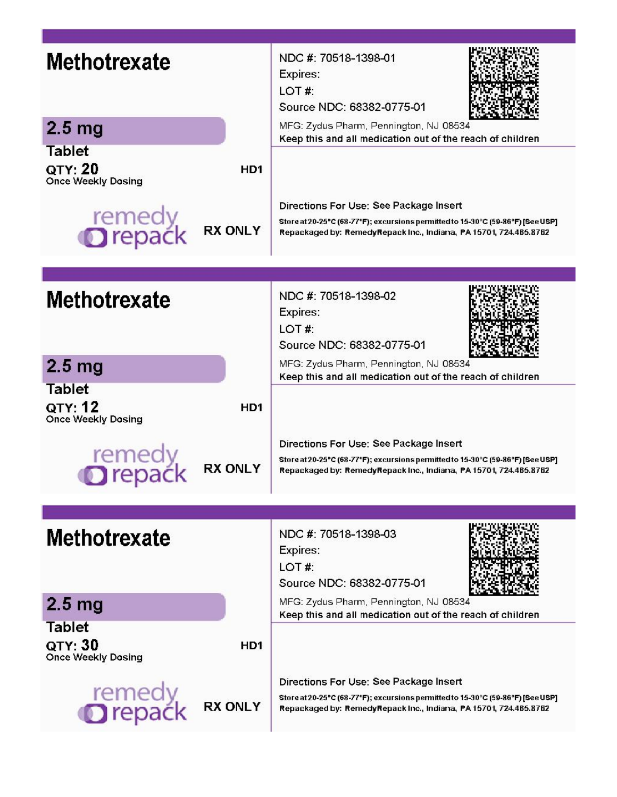| <b>Methotrexate</b>                            |                | NDC #: 70518-1398-01<br>Expires:<br>LOT#:<br>Source NDC: 68382-0775-01                                                                                                                         |
|------------------------------------------------|----------------|------------------------------------------------------------------------------------------------------------------------------------------------------------------------------------------------|
| 2.5 <sub>mg</sub>                              |                | MFG: Zydus Pharm, Pennington, NJ 08534<br>Keep this and all medication out of the reach of children                                                                                            |
| <b>Tablet</b><br>QTY: 20<br>Once Weekly Dosing | HD1            |                                                                                                                                                                                                |
| remedy<br><b>O</b> repack                      | <b>RX ONLY</b> | Directions For Use: See Package Insert<br>Store at 20-25°C (68-77°F); excursions permitted to 15-30°C (59-86°F) [See USP]<br>Repackaged by: RemedyRepack Inc., Indiana, PA 15701, 724.465.8762 |
|                                                |                |                                                                                                                                                                                                |
| <b>Methotrexate</b>                            |                | NDC #: 70518-1398-02<br>Expires:<br>LOT#:<br>Source NDC: 68382-0775-01                                                                                                                         |
| 2.5 <sub>mg</sub>                              |                | MFG: Zydus Pharm, Pennington, NJ 08534                                                                                                                                                         |
| <b>Tablet</b>                                  |                | Keep this and all medication out of the reach of children                                                                                                                                      |
| QTY: 12<br>Once Weekly Dosing                  | HD1            |                                                                                                                                                                                                |
| reme<br>repac                                  | <b>RX ONLY</b> | Directions For Use: See Package Insert<br>Store at 20-25°C (68-77°F); excursions permitted to 15-30°C (59-86°F) [See USP]<br>Repackaged by: RemedyRepack Inc., Indiana, PA 15701, 724.465.8762 |
|                                                |                |                                                                                                                                                                                                |
| <b>Methotrexate</b>                            |                | NDC #: 70518-1398-03<br>Expires:<br>LOT#:<br>Source NDC: 68382-0775-01                                                                                                                         |
| 2.5 <sub>mg</sub>                              |                | MFG: Zydus Pharm, Pennington, NJ 08534                                                                                                                                                         |
| Tablet                                         |                | Keep this and all medication out of the reach of children                                                                                                                                      |
| QTY: 30<br>Once Weekly Dosing                  | HD1            |                                                                                                                                                                                                |
| remedy<br><b>Drepack</b>                       | <b>RX ONLY</b> | Directions For Use: See Package Insert<br>Store at 20-25°C (68-77°F); excursions permitted to 15-30°C (59-86°F) [See USP]<br>Repackaged by: RemedyRepack Inc., Indiana, PA 15701, 724.465.8762 |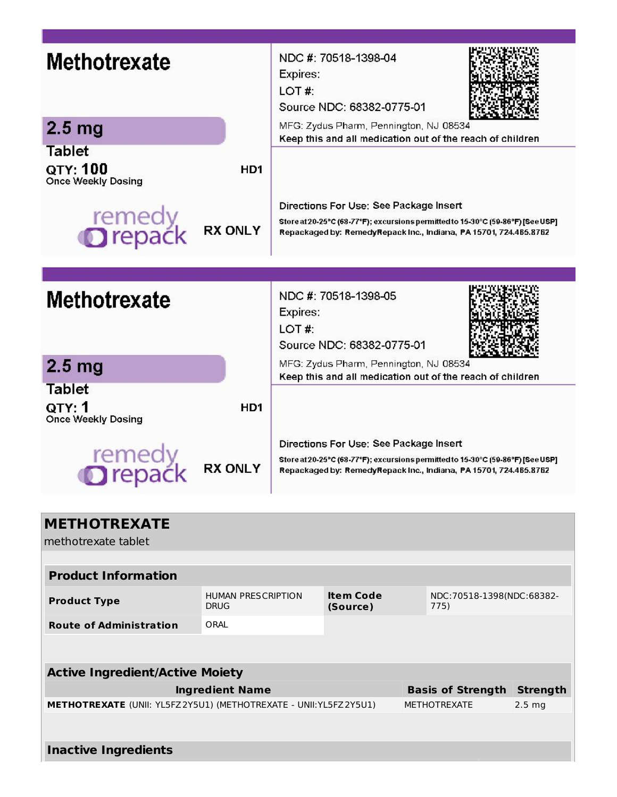| <b>Methotrexate</b><br>2.5 <sub>mg</sub>      |                 | NDC #: 70518-1398-04<br>Expires:<br>LOT#:<br>Source NDC: 68382-0775-01<br>MFG: Zydus Pharm, Pennington, NJ 08534<br>Keep this and all medication out of the reach of children                  |
|-----------------------------------------------|-----------------|------------------------------------------------------------------------------------------------------------------------------------------------------------------------------------------------|
| <b>Tablet</b>                                 |                 |                                                                                                                                                                                                |
| QTY: 100<br>Once Weekly Dosing                | HD <sub>1</sub> |                                                                                                                                                                                                |
|                                               |                 | Directions For Use: See Package Insert                                                                                                                                                         |
| remedy<br><b>O</b> repack                     | <b>RX ONLY</b>  | Store at 20-25°C (68-77°F); excursions permitted to 15-30°C (59-86°F) [See USP]<br>Repackaged by: RemedyRepack Inc., Indiana, PA 15701, 724.465.8762                                           |
|                                               |                 |                                                                                                                                                                                                |
|                                               |                 |                                                                                                                                                                                                |
| <b>Methotrexate</b>                           |                 | NDC #: 70518-1398-05<br>Expires:<br>LOT#:<br>Source NDC: 68382-0775-01                                                                                                                         |
|                                               |                 | MFG: Zydus Pharm, Pennington, NJ 08534                                                                                                                                                         |
| 2.5 <sub>mg</sub>                             |                 | Keep this and all medication out of the reach of children                                                                                                                                      |
| <b>Tablet</b><br>QTY: 1<br>Once Weekly Dosing | HD1             |                                                                                                                                                                                                |
| remed<br><b>Drepa</b>                         | <b>RX ONLY</b>  | Directions For Use: See Package Insert<br>Store at 20-25°C (68-77°F); excursions permitted to 15-30°C (59-86°F) [See USP]<br>Repackaged by: RemedyRepack Inc., Indiana, PA 15701, 724.465.8762 |

| <b>METHOTREXATE</b>                                                     |                                          |                              |  |                                     |                   |
|-------------------------------------------------------------------------|------------------------------------------|------------------------------|--|-------------------------------------|-------------------|
| methotrexate tablet                                                     |                                          |                              |  |                                     |                   |
|                                                                         |                                          |                              |  |                                     |                   |
| <b>Product Information</b>                                              |                                          |                              |  |                                     |                   |
| <b>Product Type</b>                                                     | <b>HUMAN PRESCRIPTION</b><br><b>DRUG</b> | <b>Item Code</b><br>(Source) |  | NDC: 70518-1398(NDC: 68382-<br>775) |                   |
| <b>Route of Administration</b>                                          | ORAL                                     |                              |  |                                     |                   |
|                                                                         |                                          |                              |  |                                     |                   |
| <b>Active Ingredient/Active Moiety</b>                                  |                                          |                              |  |                                     |                   |
| <b>Ingredient Name</b><br><b>Basis of Strength</b>                      |                                          |                              |  |                                     | <b>Strength</b>   |
| <b>METHOTREXATE</b> (UNII: YL5FZ2Y5U1) (METHOTREXATE - UNII:YL5FZ2Y5U1) |                                          |                              |  | <b>METHOTREXATE</b>                 | 2.5 <sub>mg</sub> |
|                                                                         |                                          |                              |  |                                     |                   |
| <b>Inactive Ingredients</b>                                             |                                          |                              |  |                                     |                   |